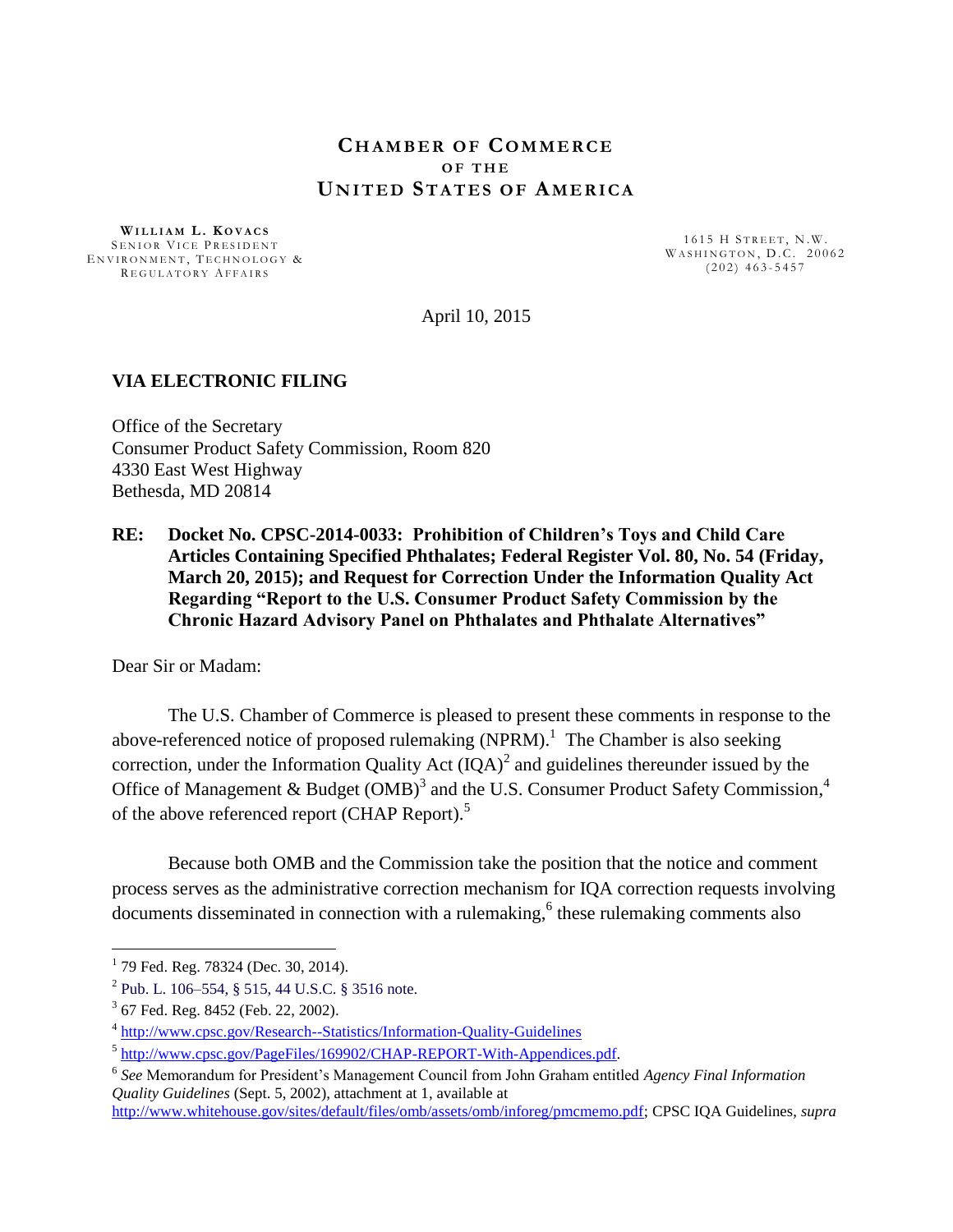## **CH A M B E R O F CO M M E R C E O F T H E UN I T E D ST A T E S O F AM E R I C A**

**WI L L I A M L . K O V A C S** SENIOR VICE PRESIDENT ENVIRONMENT, TECHNOLOGY & REGULATORY AFFAIRS

1615 H STREET, N.W. WASHINGTON, D.C. 20062  $( 202 )$  463-5457

April 10, 2015

### **VIA ELECTRONIC FILING**

Office of the Secretary Consumer Product Safety Commission, Room 820 4330 East West Highway Bethesda, MD 20814

**RE: Docket No. CPSC-2014-0033: Prohibition of Children's Toys and Child Care Articles Containing Specified Phthalates; Federal Register Vol. 80, No. 54 (Friday, March 20, 2015); and Request for Correction Under the Information Quality Act Regarding "Report to the U.S. Consumer Product Safety Commission by the Chronic Hazard Advisory Panel on Phthalates and Phthalate Alternatives"**

Dear Sir or Madam:

The U.S. Chamber of Commerce is pleased to present these comments in response to the above-referenced notice of proposed rulemaking (NPRM).<sup>1</sup> The Chamber is also seeking correction, under the Information Quality Act  $(IQA)^2$  and guidelines thereunder issued by the Office of Management & Budget (OMB)<sup>3</sup> and the U.S. Consumer Product Safety Commission,<sup>4</sup> of the above referenced report (CHAP Report).<sup>5</sup>

Because both OMB and the Commission take the position that the notice and comment process serves as the administrative correction mechanism for IQA correction requests involving documents disseminated in connection with a rulemaking,<sup>6</sup> these rulemaking comments also

<sup>&</sup>lt;sup>1</sup> 79 Fed. Reg. 78324 (Dec. 30, 2014).

 $^{2}$  [Pub. L. 106–554, § 515, 44 U.S.C. § 3516 note.](http://uscode.house.gov/statviewer.htm?volume=114&page=2763)

<sup>&</sup>lt;sup>3</sup> 67 Fed. Reg. 8452 (Feb. 22, 2002).

<sup>&</sup>lt;sup>4</sup> <http://www.cpsc.gov/Research--Statistics/Information-Quality-Guidelines>

<sup>&</sup>lt;sup>5</sup> [http://www.cpsc.gov/PageFiles/169902/CHAP-REPORT-With-Appendices.pdf.](http://www.cpsc.gov/PageFiles/169902/CHAP-REPORT-With-Appendices.pdf)

<sup>6</sup> *See* Memorandum for President's Management Council from John Graham entitled *Agency Final Information Quality Guidelines* (Sept. 5, 2002), attachment at 1, available at

[http://www.whitehouse.gov/sites/default/files/omb/assets/omb/inforeg/pmcmemo.pdf;](http://www.whitehouse.gov/sites/default/files/omb/assets/omb/inforeg/pmcmemo.pdf) CPSC IQA Guidelines, *supra*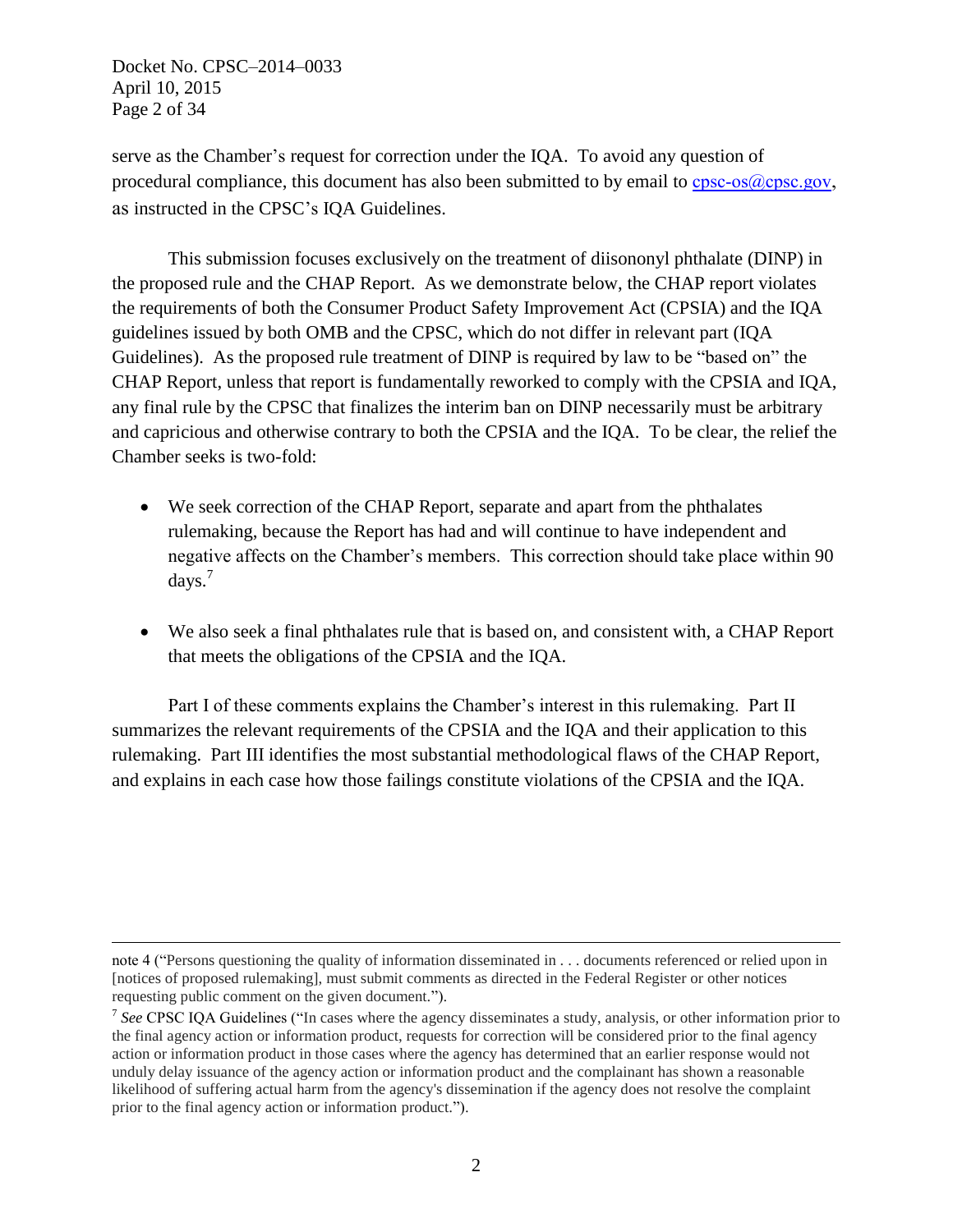Docket No. CPSC–2014–0033 April 10, 2015 Page 2 of 34

 $\overline{a}$ 

serve as the Chamber's request for correction under the IQA. To avoid any question of procedural compliance, this document has also been submitted to by email to  $cpc-os(\omega)$ , gov, as instructed in the CPSC's IQA Guidelines.

This submission focuses exclusively on the treatment of diisononyl phthalate (DINP) in the proposed rule and the CHAP Report. As we demonstrate below, the CHAP report violates the requirements of both the Consumer Product Safety Improvement Act (CPSIA) and the IQA guidelines issued by both OMB and the CPSC, which do not differ in relevant part (IQA Guidelines). As the proposed rule treatment of DINP is required by law to be "based on" the CHAP Report, unless that report is fundamentally reworked to comply with the CPSIA and IQA, any final rule by the CPSC that finalizes the interim ban on DINP necessarily must be arbitrary and capricious and otherwise contrary to both the CPSIA and the IQA. To be clear, the relief the Chamber seeks is two-fold:

- We seek correction of the CHAP Report, separate and apart from the phthalates rulemaking, because the Report has had and will continue to have independent and negative affects on the Chamber's members. This correction should take place within 90 days. 7
- We also seek a final phthalates rule that is based on, and consistent with, a CHAP Report that meets the obligations of the CPSIA and the IQA.

Part I of these comments explains the Chamber's interest in this rulemaking. Part II summarizes the relevant requirements of the CPSIA and the IOA and their application to this rulemaking. Part III identifies the most substantial methodological flaws of the CHAP Report, and explains in each case how those failings constitute violations of the CPSIA and the IQA.

note 4 ("Persons questioning the quality of information disseminated in . . . documents referenced or relied upon in [notices of proposed rulemaking], must submit comments as directed in the Federal Register or other notices requesting public comment on the given document.").

<sup>7</sup> *See* CPSC IQA Guidelines ("In cases where the agency disseminates a study, analysis, or other information prior to the final agency action or information product, requests for correction will be considered prior to the final agency action or information product in those cases where the agency has determined that an earlier response would not unduly delay issuance of the agency action or information product and the complainant has shown a reasonable likelihood of suffering actual harm from the agency's dissemination if the agency does not resolve the complaint prior to the final agency action or information product.").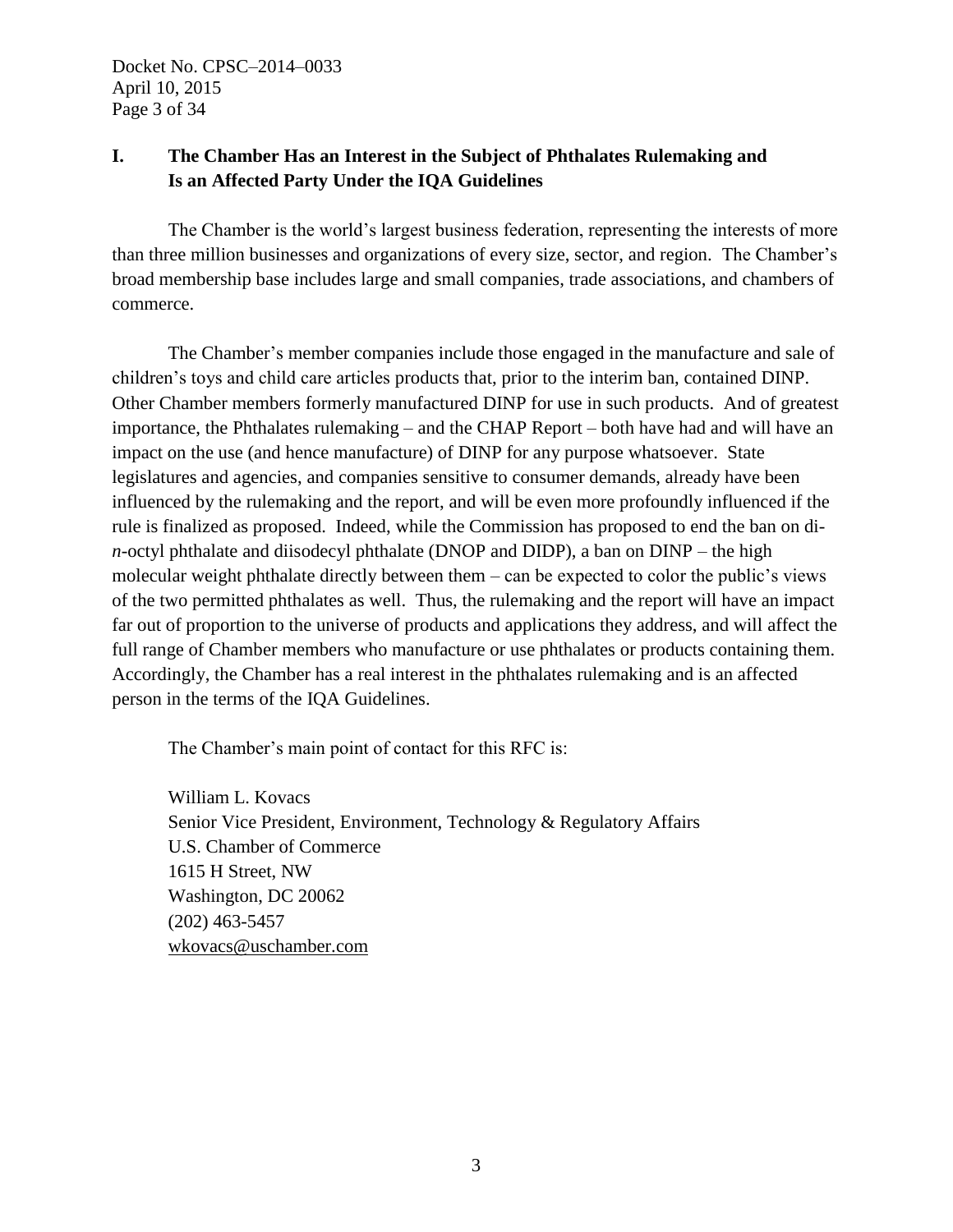# **I. The Chamber Has an Interest in the Subject of Phthalates Rulemaking and Is an Affected Party Under the IQA Guidelines**

The Chamber is the world's largest business federation, representing the interests of more than three million businesses and organizations of every size, sector, and region. The Chamber's broad membership base includes large and small companies, trade associations, and chambers of commerce.

The Chamber's member companies include those engaged in the manufacture and sale of children's toys and child care articles products that, prior to the interim ban, contained DINP. Other Chamber members formerly manufactured DINP for use in such products. And of greatest importance, the Phthalates rulemaking – and the CHAP Report – both have had and will have an impact on the use (and hence manufacture) of DINP for any purpose whatsoever. State legislatures and agencies, and companies sensitive to consumer demands, already have been influenced by the rulemaking and the report, and will be even more profoundly influenced if the rule is finalized as proposed. Indeed, while the Commission has proposed to end the ban on di*n*-octyl phthalate and diisodecyl phthalate (DNOP and DIDP), a ban on DINP – the high molecular weight phthalate directly between them – can be expected to color the public's views of the two permitted phthalates as well. Thus, the rulemaking and the report will have an impact far out of proportion to the universe of products and applications they address, and will affect the full range of Chamber members who manufacture or use phthalates or products containing them. Accordingly, the Chamber has a real interest in the phthalates rulemaking and is an affected person in the terms of the IQA Guidelines.

The Chamber's main point of contact for this RFC is:

William L. Kovacs Senior Vice President, Environment, Technology & Regulatory Affairs U.S. Chamber of Commerce 1615 H Street, NW Washington, DC 20062 (202) 463-5457 [wkovacs@uschamber.com](mailto:wkovacs@uschamber.com)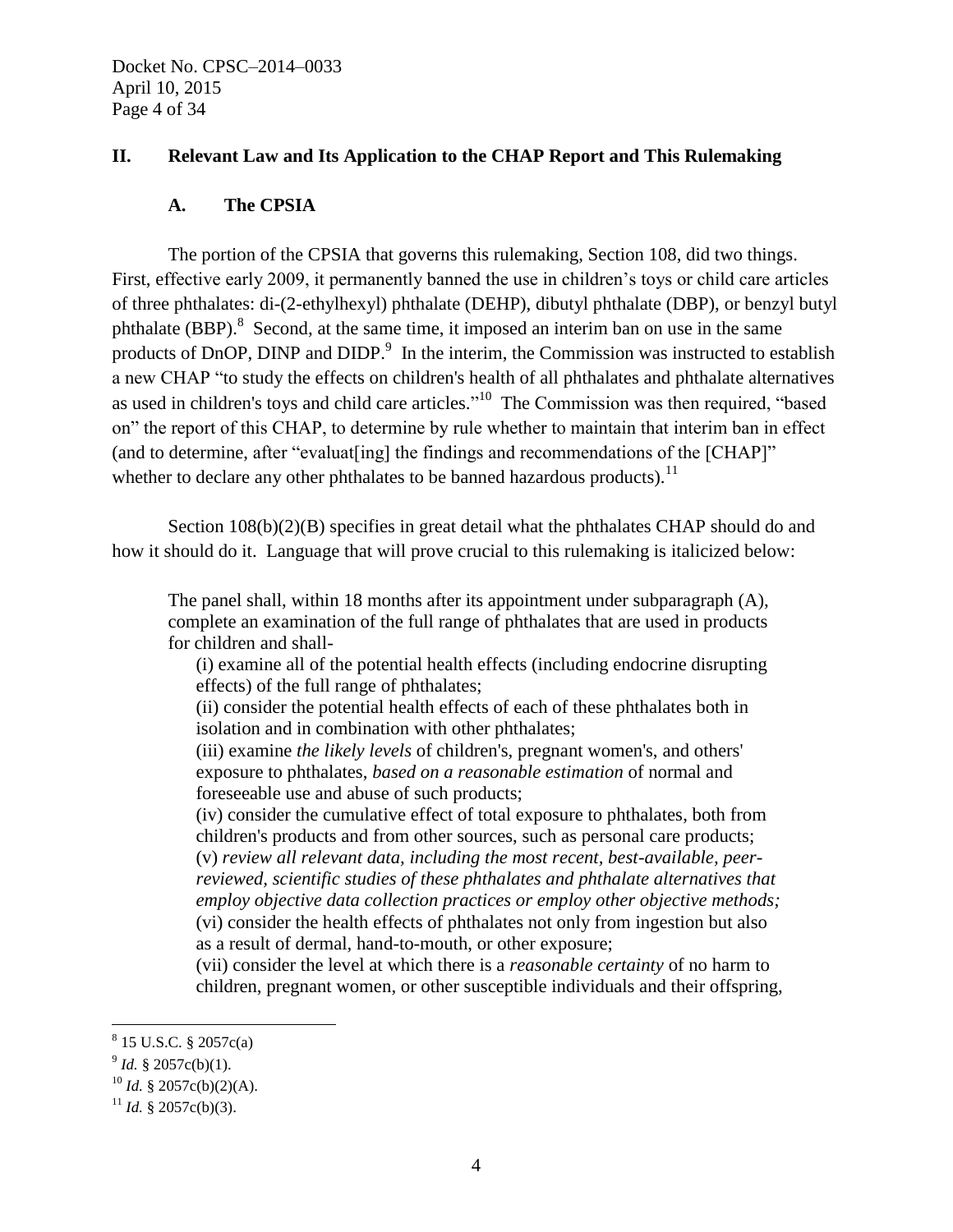## **II. Relevant Law and Its Application to the CHAP Report and This Rulemaking**

#### **A. The CPSIA**

The portion of the CPSIA that governs this rulemaking, Section 108, did two things. First, effective early 2009, it permanently banned the use in children's toys or child care articles of three phthalates: di-(2-ethylhexyl) phthalate (DEHP), dibutyl phthalate (DBP), or benzyl butyl phthalate  $(BBP)$ .<sup>8</sup> Second, at the same time, it imposed an interim ban on use in the same products of DnOP, DINP and DIDP.<sup>9</sup> In the interim, the Commission was instructed to establish a new CHAP "to study the effects on children's health of all phthalates and phthalate alternatives as used in children's toys and child care articles."<sup>10</sup> The Commission was then required, "based on" the report of this CHAP, to determine by rule whether to maintain that interim ban in effect (and to determine, after "evaluat[ing] the findings and recommendations of the [CHAP]" whether to declare any other phthalates to be banned hazardous products).<sup>11</sup>

Section  $108(b)(2)(B)$  specifies in great detail what the phthalates CHAP should do and how it should do it. Language that will prove crucial to this rulemaking is italicized below:

The panel shall, within 18 months after its appointment under subparagraph (A), complete an examination of the full range of phthalates that are used in products for children and shall-

(i) examine all of the potential health effects (including endocrine disrupting effects) of the full range of phthalates;

(ii) consider the potential health effects of each of these phthalates both in isolation and in combination with other phthalates;

(iii) examine *the likely levels* of children's, pregnant women's, and others' exposure to phthalates, *based on a reasonable estimation* of normal and foreseeable use and abuse of such products;

(iv) consider the cumulative effect of total exposure to phthalates, both from children's products and from other sources, such as personal care products; (v) *review all relevant data, including the most recent, best-available, peerreviewed, scientific studies of these phthalates and phthalate alternatives that employ objective data collection practices or employ other objective methods;*

(vi) consider the health effects of phthalates not only from ingestion but also as a result of dermal, hand-to-mouth, or other exposure;

(vii) consider the level at which there is a *reasonable certainty* of no harm to children, pregnant women, or other susceptible individuals and their offspring,

<sup>8</sup> 15 U.S.C. § 2057c(a)

 $9^9$  *Id.* § 2057c(b)(1).

 $10$  *Id.* § 2057c(b)(2)(A).

<sup>&</sup>lt;sup>11</sup> *Id.* § 2057c(b)(3).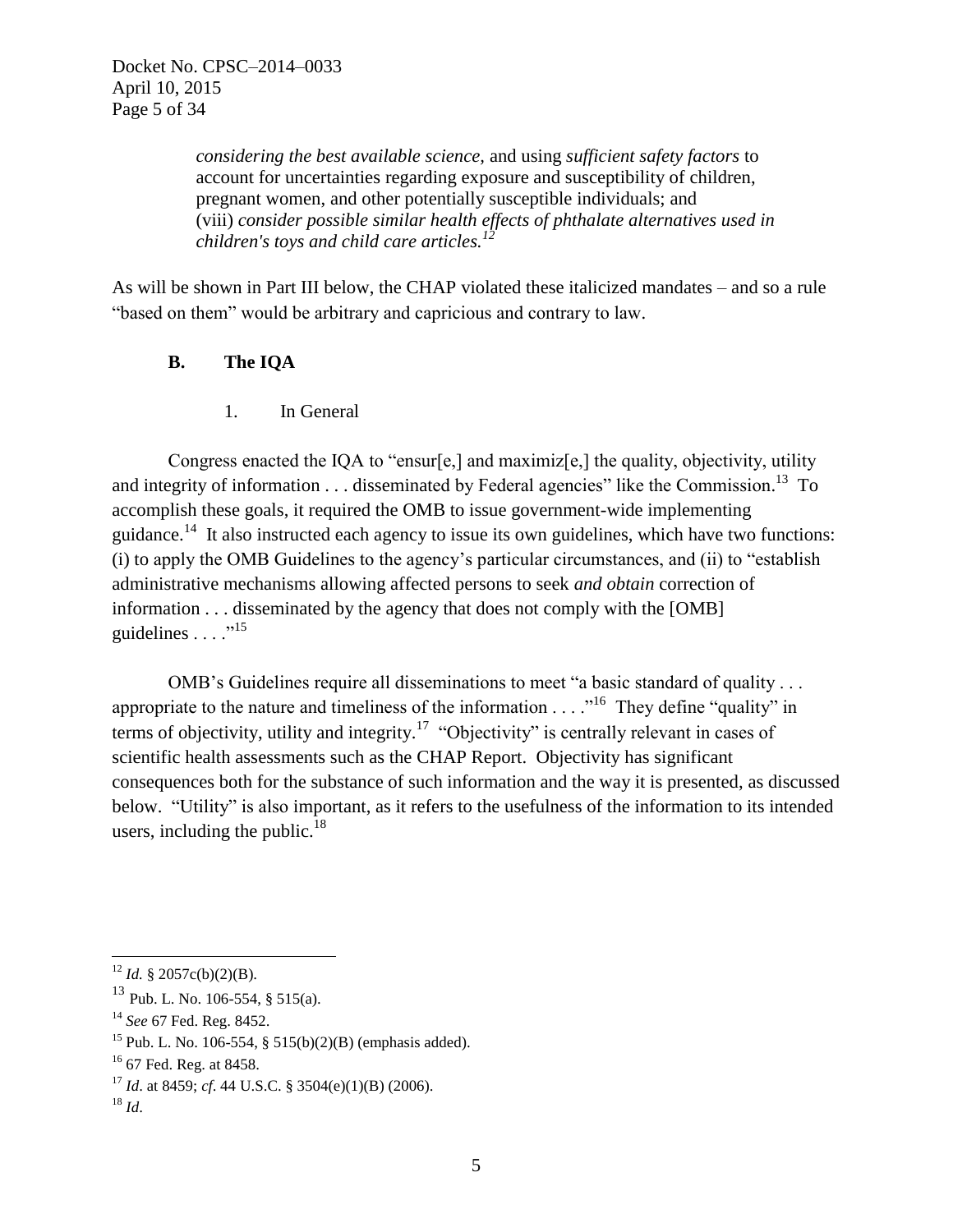*considering the best available science,* and using *sufficient safety factors* to account for uncertainties regarding exposure and susceptibility of children, pregnant women, and other potentially susceptible individuals; and (viii) *consider possible similar health effects of phthalate alternatives used in children's toys and child care articles.<sup>12</sup>*

As will be shown in Part III below, the CHAP violated these italicized mandates – and so a rule "based on them" would be arbitrary and capricious and contrary to law.

## **B. The IQA**

1. In General

Congress enacted the IQA to "ensur[e,] and maximiz[e,] the quality, objectivity, utility and integrity of information  $\dots$  disseminated by Federal agencies" like the Commission.<sup>13</sup> To accomplish these goals, it required the OMB to issue government-wide implementing guidance.<sup>14</sup> It also instructed each agency to issue its own guidelines, which have two functions: (i) to apply the OMB Guidelines to the agency's particular circumstances, and (ii) to "establish administrative mechanisms allowing affected persons to seek *and obtain* correction of information . . . disseminated by the agency that does not comply with the [OMB] guidelines  $\ldots$   $\cdot$ <sup>15</sup>

OMB's Guidelines require all disseminations to meet "a basic standard of quality . . . appropriate to the nature and timeliness of the information  $\dots$   $\cdot$ <sup>16</sup>. They define "quality" in terms of objectivity, utility and integrity.<sup>17</sup> "Objectivity" is centrally relevant in cases of scientific health assessments such as the CHAP Report. Objectivity has significant consequences both for the substance of such information and the way it is presented, as discussed below. "Utility" is also important, as it refers to the usefulness of the information to its intended users, including the public. $18$ 

 $\overline{a}$  $12$  *Id.* § 2057c(b)(2)(B).

 $13$  Pub. L. No. 106-554, § 515(a).

<sup>14</sup> *See* 67 Fed. Reg. 8452.

<sup>&</sup>lt;sup>15</sup> Pub. L. No. 106-554, § 515(b)(2)(B) (emphasis added).

<sup>&</sup>lt;sup>16</sup> 67 Fed. Reg. at 8458.

<sup>17</sup> *Id*. at 8459; *cf*. 44 U.S.C. § 3504(e)(1)(B) (2006).

 $^{18}$  *Id.*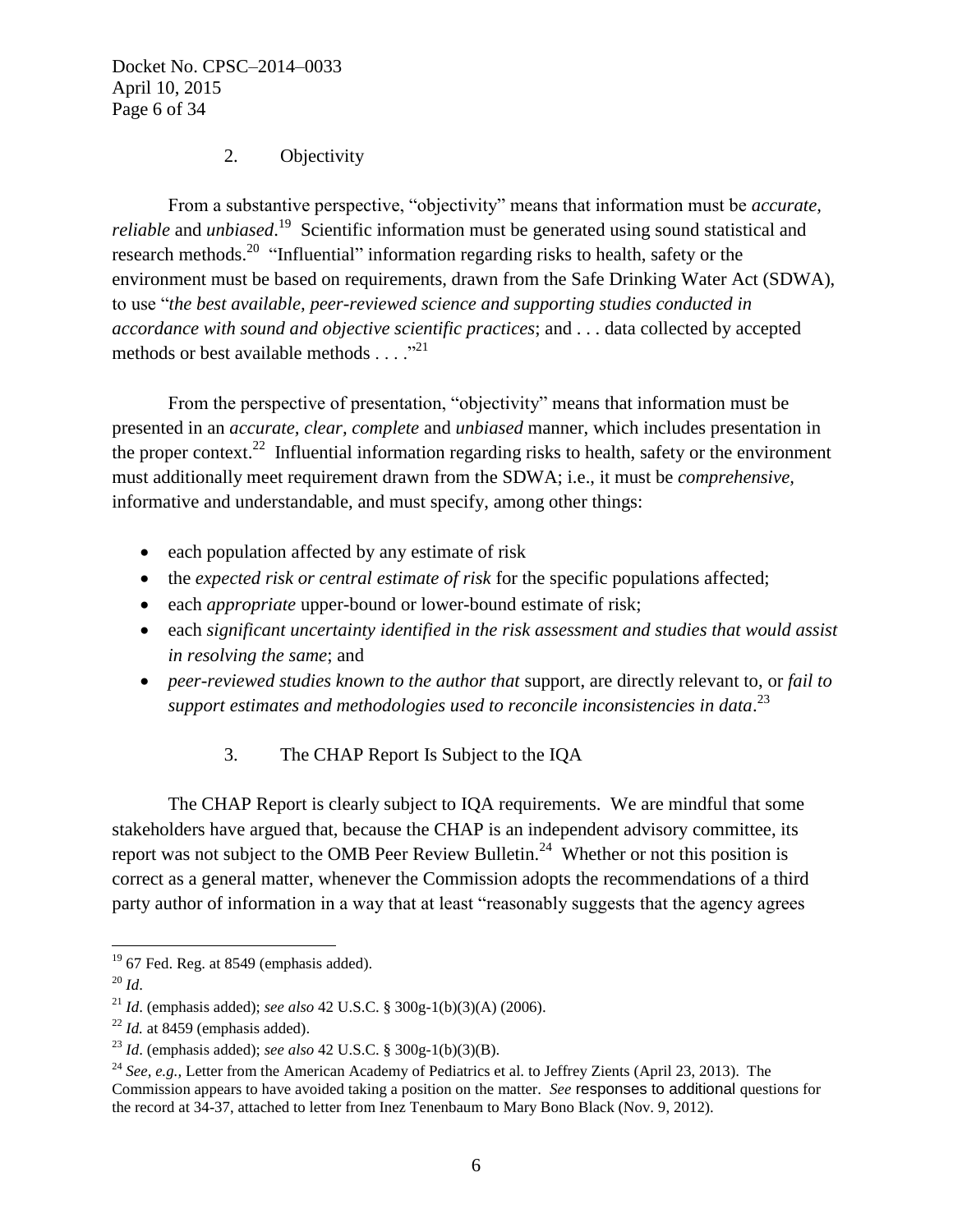Docket No. CPSC–2014–0033 April 10, 2015 Page 6 of 34

## 2. Objectivity

From a substantive perspective, "objectivity" means that information must be *accurate, reliable* and *unbiased*.<sup>19</sup> Scientific information must be generated using sound statistical and research methods.<sup>20</sup> "Influential" information regarding risks to health, safety or the environment must be based on requirements, drawn from the Safe Drinking Water Act (SDWA), to use "*the best available, peer-reviewed science and supporting studies conducted in accordance with sound and objective scientific practices*; and . . . data collected by accepted methods or best available methods  $\dots$ <sup>21</sup>

From the perspective of presentation, "objectivity" means that information must be presented in an *accurate, clear, complete* and *unbiased* manner, which includes presentation in the proper context.<sup>22</sup> Influential information regarding risks to health, safety or the environment must additionally meet requirement drawn from the SDWA; i.e., it must be *comprehensive,* informative and understandable, and must specify, among other things:

- each population affected by any estimate of risk
- the *expected risk or central estimate of risk* for the specific populations affected;
- each *appropriate* upper-bound or lower-bound estimate of risk;
- each *significant uncertainty identified in the risk assessment and studies that would assist in resolving the same*; and
- *peer-reviewed studies known to the author that* support, are directly relevant to, or *fail to support estimates and methodologies used to reconcile inconsistencies in data*. 23
	- 3. The CHAP Report Is Subject to the IQA

The CHAP Report is clearly subject to IQA requirements. We are mindful that some stakeholders have argued that, because the CHAP is an independent advisory committee, its report was not subject to the OMB Peer Review Bulletin.<sup>24</sup> Whether or not this position is correct as a general matter, whenever the Commission adopts the recommendations of a third party author of information in a way that at least "reasonably suggests that the agency agrees

 $\overline{a}$  $19$  67 Fed. Reg. at 8549 (emphasis added).

<sup>20</sup> *Id*.

<sup>21</sup> *Id*. (emphasis added); *see also* 42 U.S.C. § 300g-1(b)(3)(A) (2006).

 $^{22}$  *Id.* at 8459 (emphasis added).

<sup>23</sup> *Id*. (emphasis added); *see also* 42 U.S.C. § 300g-1(b)(3)(B).

<sup>24</sup> *See, e.g.,* Letter from the American Academy of Pediatrics et al. to Jeffrey Zients (April 23, 2013). The Commission appears to have avoided taking a position on the matter. *See* responses to additional questions for the record at 34-37, attached to letter from Inez Tenenbaum to Mary Bono Black (Nov. 9, 2012).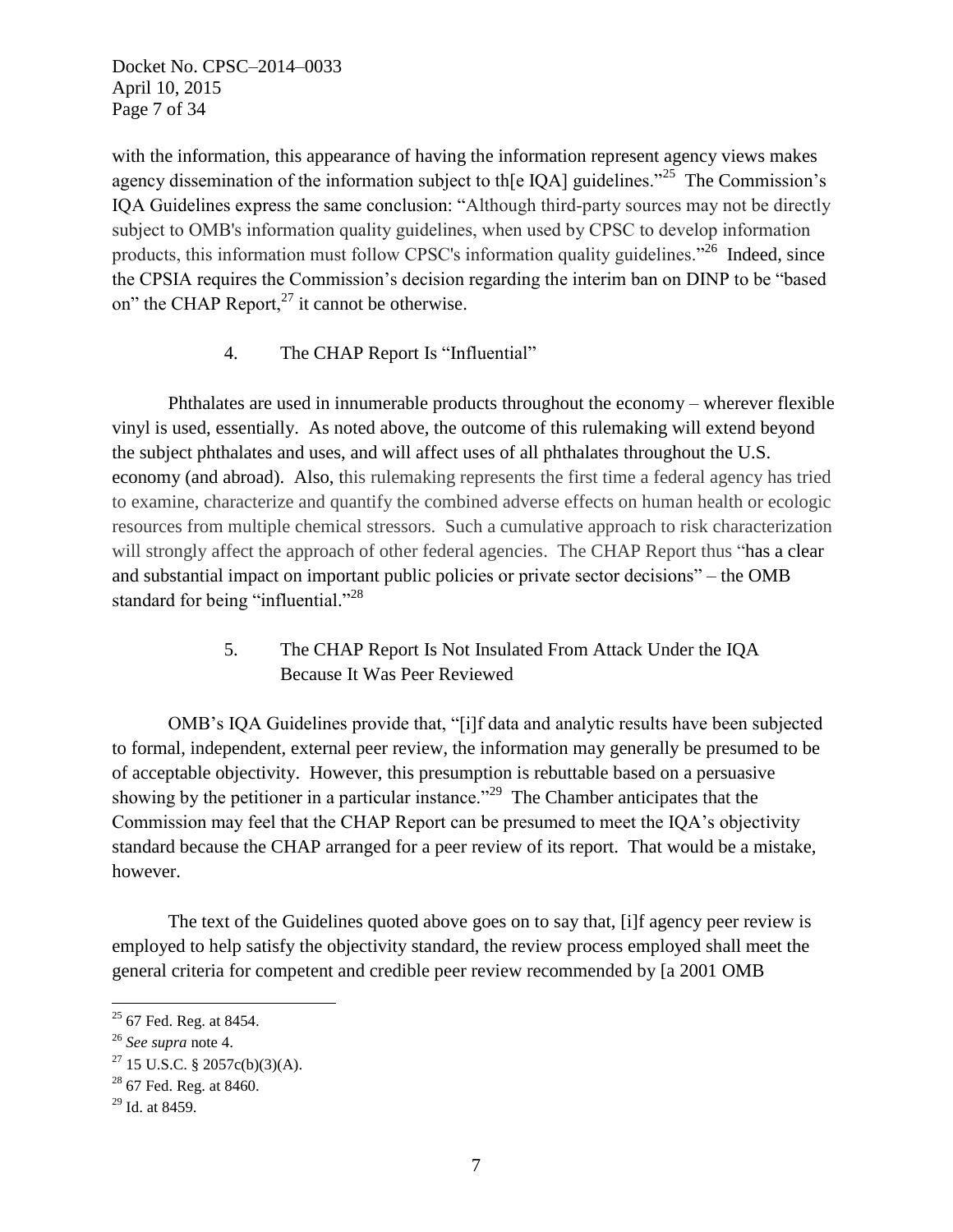Docket No. CPSC–2014–0033 April 10, 2015 Page 7 of 34

with the information, this appearance of having the information represent agency views makes agency dissemination of the information subject to th[e IQA] guidelines.<sup>"25</sup> The Commission's IQA Guidelines express the same conclusion: "Although third-party sources may not be directly subject to OMB's information quality guidelines, when used by CPSC to develop information products, this information must follow CPSC's information quality guidelines."<sup>26</sup> Indeed, since the CPSIA requires the Commission's decision regarding the interim ban on DINP to be "based on" the CHAP Report, $27$  it cannot be otherwise.

4. The CHAP Report Is "Influential"

Phthalates are used in innumerable products throughout the economy – wherever flexible vinyl is used, essentially. As noted above, the outcome of this rulemaking will extend beyond the subject phthalates and uses, and will affect uses of all phthalates throughout the U.S. economy (and abroad). Also, this rulemaking represents the first time a federal agency has tried to examine, characterize and quantify the combined adverse effects on human health or ecologic resources from multiple chemical stressors. Such a cumulative approach to risk characterization will strongly affect the approach of other federal agencies. The CHAP Report thus "has a clear and substantial impact on important public policies or private sector decisions" – the OMB standard for being "influential."<sup>28</sup>

> 5. The CHAP Report Is Not Insulated From Attack Under the IQA Because It Was Peer Reviewed

OMB's IQA Guidelines provide that, "[i]f data and analytic results have been subjected to formal, independent, external peer review, the information may generally be presumed to be of acceptable objectivity. However, this presumption is rebuttable based on a persuasive showing by the petitioner in a particular instance.<sup> $29$ </sup> The Chamber anticipates that the Commission may feel that the CHAP Report can be presumed to meet the IQA's objectivity standard because the CHAP arranged for a peer review of its report. That would be a mistake, however.

The text of the Guidelines quoted above goes on to say that, [i]f agency peer review is employed to help satisfy the objectivity standard, the review process employed shall meet the general criteria for competent and credible peer review recommended by [a 2001 OMB

 $25$  67 Fed. Reg. at 8454.

<sup>26</sup> *See supra* note 4.

 $27$  15 U.S.C. § 2057c(b)(3)(A).

 $28$  67 Fed. Reg. at 8460.

<sup>29</sup> Id. at 8459.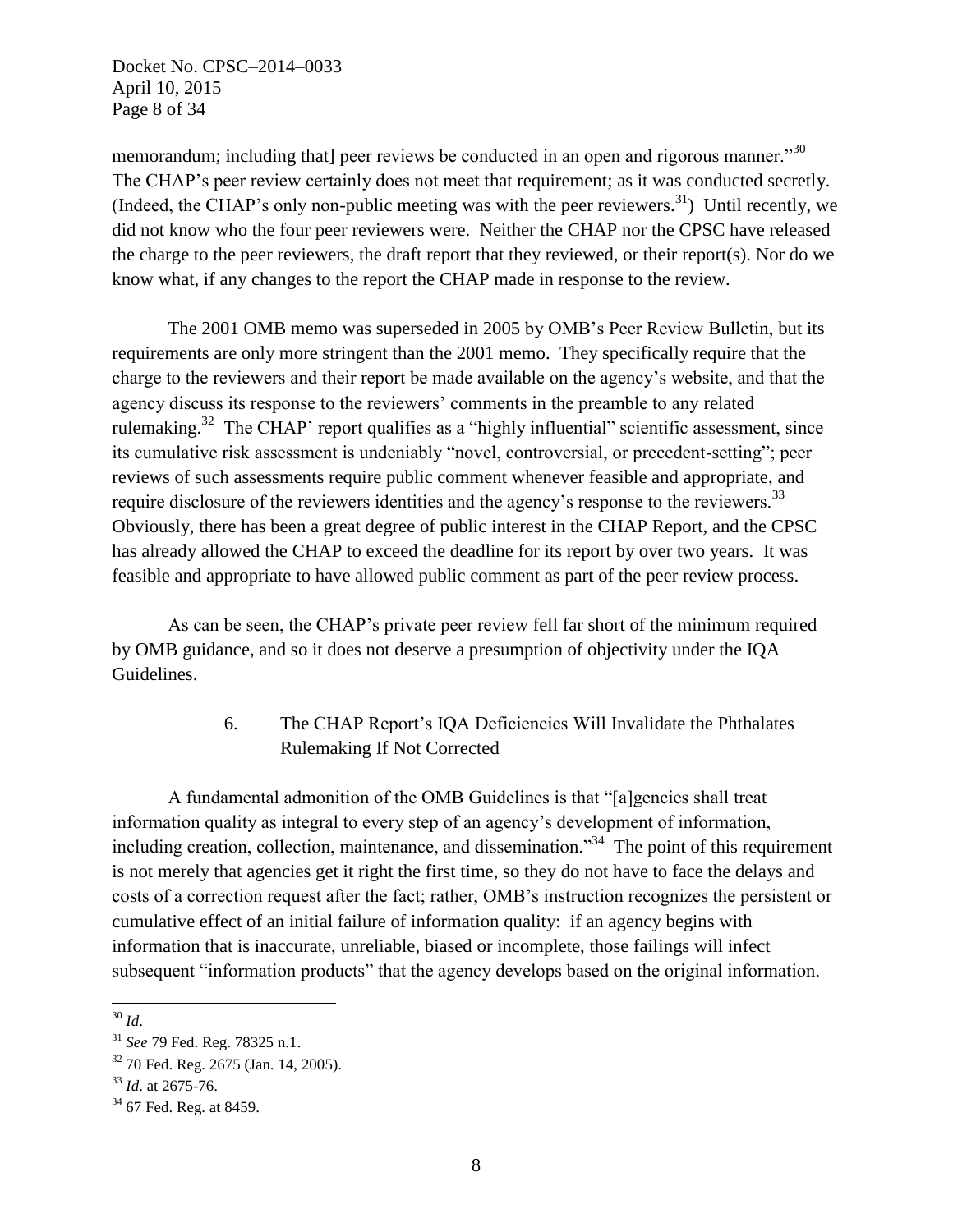Docket No. CPSC–2014–0033 April 10, 2015 Page 8 of 34

memorandum; including that] peer reviews be conducted in an open and rigorous manner."<sup>30</sup> The CHAP's peer review certainly does not meet that requirement; as it was conducted secretly. (Indeed, the CHAP's only non-public meeting was with the peer reviewers.<sup>31</sup>) Until recently, we did not know who the four peer reviewers were. Neither the CHAP nor the CPSC have released the charge to the peer reviewers, the draft report that they reviewed, or their report(s). Nor do we know what, if any changes to the report the CHAP made in response to the review.

The 2001 OMB memo was superseded in 2005 by OMB's Peer Review Bulletin, but its requirements are only more stringent than the 2001 memo. They specifically require that the charge to the reviewers and their report be made available on the agency's website, and that the agency discuss its response to the reviewers' comments in the preamble to any related rulemaking.<sup>32</sup> The CHAP' report qualifies as a "highly influential" scientific assessment, since its cumulative risk assessment is undeniably "novel, controversial, or precedent-setting"; peer reviews of such assessments require public comment whenever feasible and appropriate, and require disclosure of the reviewers identities and the agency's response to the reviewers.<sup>33</sup> Obviously, there has been a great degree of public interest in the CHAP Report, and the CPSC has already allowed the CHAP to exceed the deadline for its report by over two years. It was feasible and appropriate to have allowed public comment as part of the peer review process.

As can be seen, the CHAP's private peer review fell far short of the minimum required by OMB guidance, and so it does not deserve a presumption of objectivity under the IQA Guidelines.

# 6. The CHAP Report's IQA Deficiencies Will Invalidate the Phthalates Rulemaking If Not Corrected

A fundamental admonition of the OMB Guidelines is that "[a]gencies shall treat information quality as integral to every step of an agency's development of information, including creation, collection, maintenance, and dissemination."<sup>34</sup> The point of this requirement is not merely that agencies get it right the first time, so they do not have to face the delays and costs of a correction request after the fact; rather, OMB's instruction recognizes the persistent or cumulative effect of an initial failure of information quality: if an agency begins with information that is inaccurate, unreliable, biased or incomplete, those failings will infect subsequent "information products" that the agency develops based on the original information.

 $\overline{a}$ <sup>30</sup> *Id*.

<sup>31</sup> *See* 79 Fed. Reg. 78325 n.1.

<sup>32</sup> 70 Fed. Reg. 2675 (Jan. 14, 2005).

<sup>33</sup> *Id*. at 2675-76.

<sup>&</sup>lt;sup>34</sup> 67 Fed. Reg. at 8459.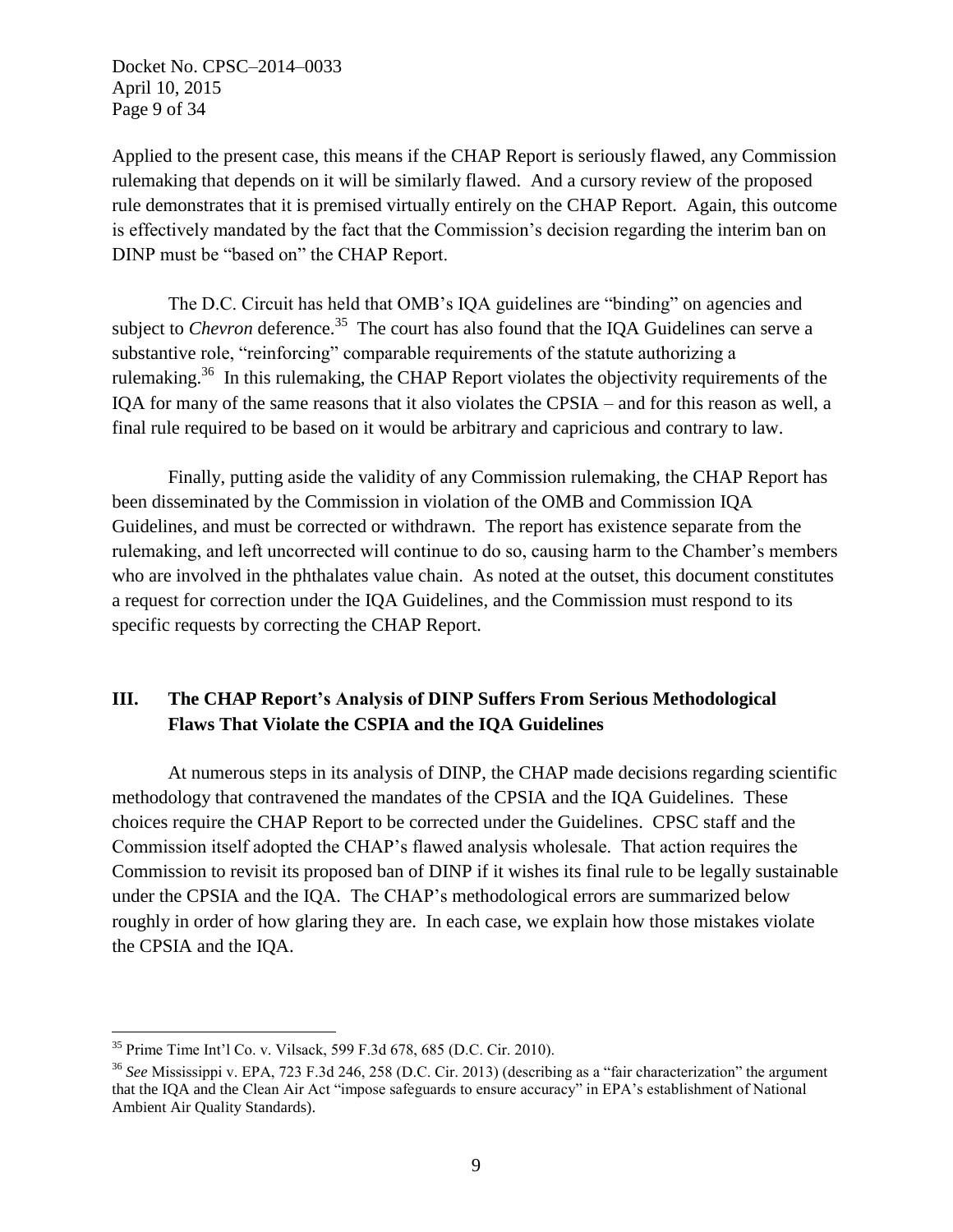Docket No. CPSC–2014–0033 April 10, 2015 Page 9 of 34

Applied to the present case, this means if the CHAP Report is seriously flawed, any Commission rulemaking that depends on it will be similarly flawed. And a cursory review of the proposed rule demonstrates that it is premised virtually entirely on the CHAP Report. Again, this outcome is effectively mandated by the fact that the Commission's decision regarding the interim ban on DINP must be "based on" the CHAP Report.

The D.C. Circuit has held that OMB's IQA guidelines are "binding" on agencies and subject to *Chevron* deference.<sup>35</sup> The court has also found that the IQA Guidelines can serve a substantive role, "reinforcing" comparable requirements of the statute authorizing a rulemaking.<sup>36</sup> In this rulemaking, the CHAP Report violates the objectivity requirements of the IQA for many of the same reasons that it also violates the CPSIA – and for this reason as well, a final rule required to be based on it would be arbitrary and capricious and contrary to law.

Finally, putting aside the validity of any Commission rulemaking, the CHAP Report has been disseminated by the Commission in violation of the OMB and Commission IQA Guidelines, and must be corrected or withdrawn. The report has existence separate from the rulemaking, and left uncorrected will continue to do so, causing harm to the Chamber's members who are involved in the phthalates value chain. As noted at the outset, this document constitutes a request for correction under the IQA Guidelines, and the Commission must respond to its specific requests by correcting the CHAP Report.

# **III. The CHAP Report's Analysis of DINP Suffers From Serious Methodological Flaws That Violate the CSPIA and the IQA Guidelines**

At numerous steps in its analysis of DINP, the CHAP made decisions regarding scientific methodology that contravened the mandates of the CPSIA and the IQA Guidelines. These choices require the CHAP Report to be corrected under the Guidelines. CPSC staff and the Commission itself adopted the CHAP's flawed analysis wholesale. That action requires the Commission to revisit its proposed ban of DINP if it wishes its final rule to be legally sustainable under the CPSIA and the IQA. The CHAP's methodological errors are summarized below roughly in order of how glaring they are. In each case, we explain how those mistakes violate the CPSIA and the IQA.

<sup>35</sup> Prime Time Int'l Co. v. Vilsack, 599 F.3d 678, 685 (D.C. Cir. 2010).

<sup>36</sup> *See* Mississippi v. EPA, 723 F.3d 246, 258 (D.C. Cir. 2013) (describing as a "fair characterization" the argument that the IQA and the Clean Air Act "impose safeguards to ensure accuracy" in EPA's establishment of National Ambient Air Quality Standards).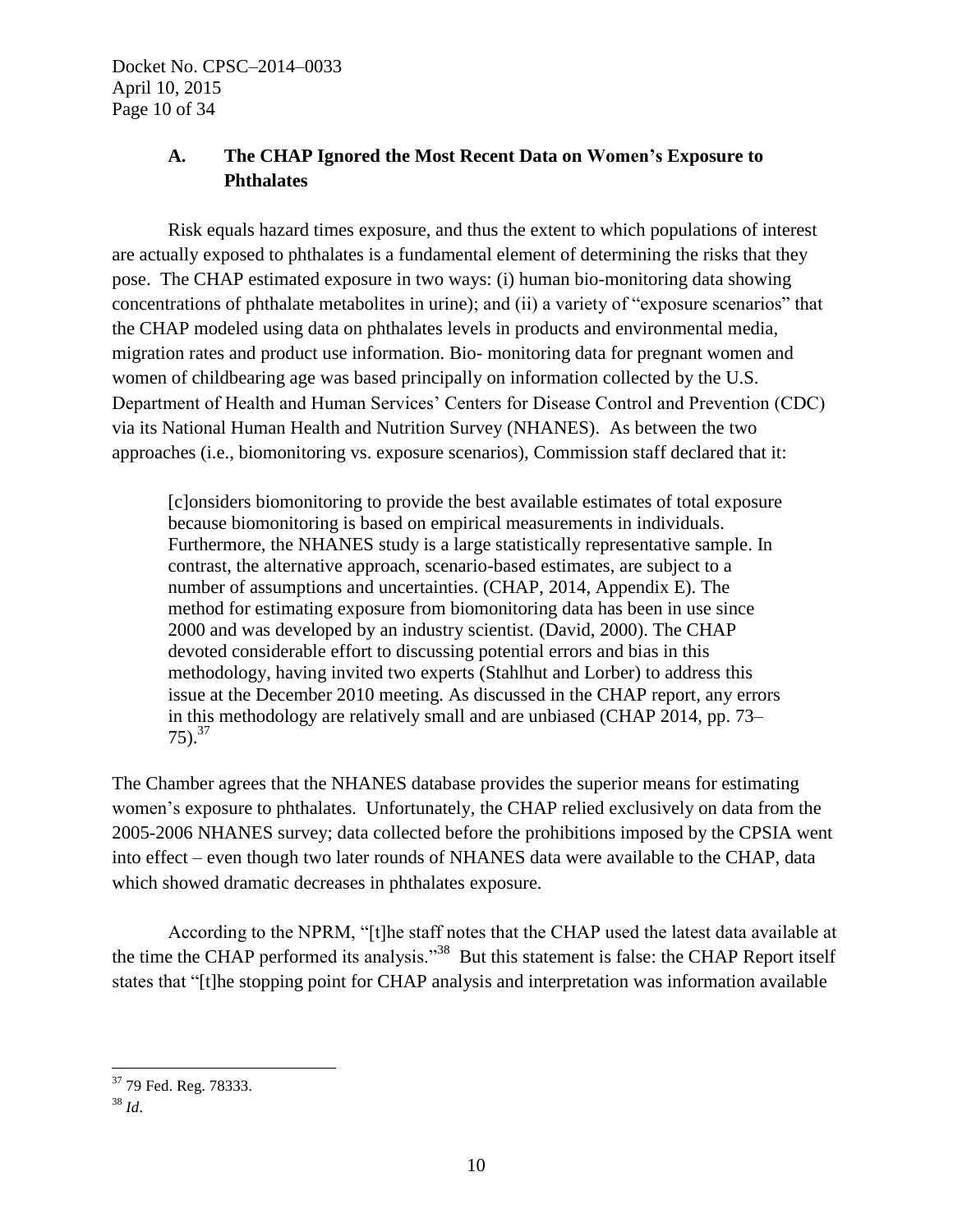# **A. The CHAP Ignored the Most Recent Data on Women's Exposure to Phthalates**

Risk equals hazard times exposure, and thus the extent to which populations of interest are actually exposed to phthalates is a fundamental element of determining the risks that they pose. The CHAP estimated exposure in two ways: (i) human bio-monitoring data showing concentrations of phthalate metabolites in urine); and (ii) a variety of "exposure scenarios" that the CHAP modeled using data on phthalates levels in products and environmental media, migration rates and product use information. Bio- monitoring data for pregnant women and women of childbearing age was based principally on information collected by the U.S. Department of Health and Human Services' Centers for Disease Control and Prevention (CDC) via its National Human Health and Nutrition Survey (NHANES). As between the two approaches (i.e., biomonitoring vs. exposure scenarios), Commission staff declared that it:

[c]onsiders biomonitoring to provide the best available estimates of total exposure because biomonitoring is based on empirical measurements in individuals. Furthermore, the NHANES study is a large statistically representative sample. In contrast, the alternative approach, scenario-based estimates, are subject to a number of assumptions and uncertainties. (CHAP, 2014, Appendix E). The method for estimating exposure from biomonitoring data has been in use since 2000 and was developed by an industry scientist. (David, 2000). The CHAP devoted considerable effort to discussing potential errors and bias in this methodology, having invited two experts (Stahlhut and Lorber) to address this issue at the December 2010 meeting. As discussed in the CHAP report, any errors in this methodology are relatively small and are unbiased (CHAP 2014, pp. 73–  $75)$ .<sup>37</sup>

The Chamber agrees that the NHANES database provides the superior means for estimating women's exposure to phthalates. Unfortunately, the CHAP relied exclusively on data from the 2005-2006 NHANES survey; data collected before the prohibitions imposed by the CPSIA went into effect – even though two later rounds of NHANES data were available to the CHAP, data which showed dramatic decreases in phthalates exposure.

According to the NPRM, "[t]he staff notes that the CHAP used the latest data available at the time the CHAP performed its analysis."<sup>38</sup> But this statement is false: the CHAP Report itself states that "[t]he stopping point for CHAP analysis and interpretation was information available

 $\overline{a}$ <sup>37</sup> 79 Fed. Reg. 78333.

<sup>38</sup> *Id*.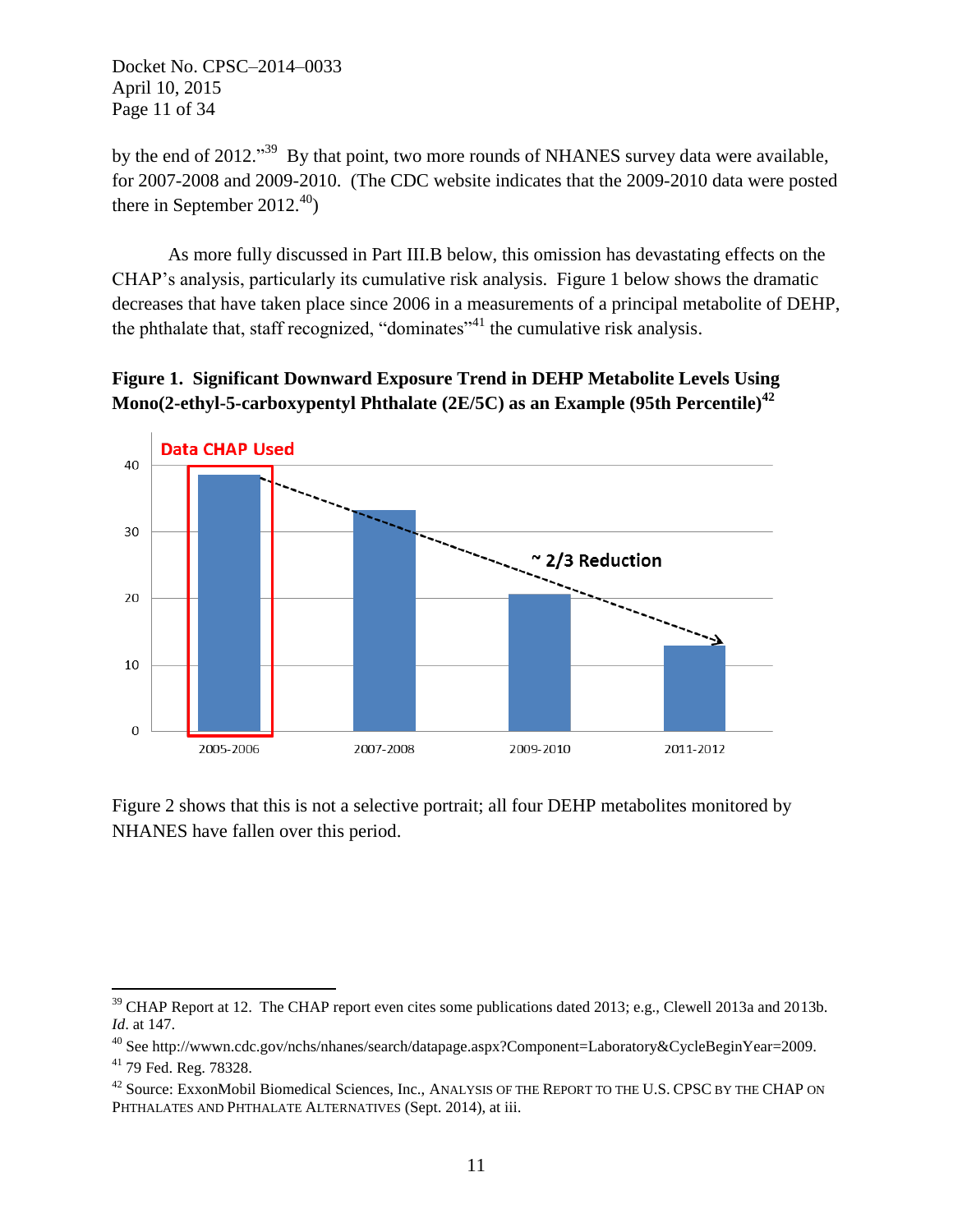Docket No. CPSC–2014–0033 April 10, 2015 Page 11 of 34

by the end of 2012."<sup>39</sup> By that point, two more rounds of NHANES survey data were available, for 2007-2008 and 2009-2010. (The CDC website indicates that the 2009-2010 data were posted there in September 2012.<sup>40</sup>)

As more fully discussed in Part III.B below, this omission has devastating effects on the CHAP's analysis, particularly its cumulative risk analysis. Figure 1 below shows the dramatic decreases that have taken place since 2006 in a measurements of a principal metabolite of DEHP, the phthalate that, staff recognized, "dominates"<sup>41</sup> the cumulative risk analysis.

# **Figure 1. Significant Downward Exposure Trend in DEHP Metabolite Levels Using Mono(2-ethyl-5-carboxypentyl Phthalate (2E/5C) as an Example (95th Percentile)<sup>42</sup>**



Figure 2 shows that this is not a selective portrait; all four DEHP metabolites monitored by NHANES have fallen over this period.

<sup>&</sup>lt;sup>39</sup> CHAP Report at 12. The CHAP report even cites some publications dated 2013; e.g., Clewell 2013a and 2013b. *Id*. at 147.

<sup>&</sup>lt;sup>40</sup> See http://wwwn.cdc.gov/nchs/nhanes/search/datapage.aspx?Component=Laboratory&CycleBeginYear=2009.

<sup>41</sup> 79 Fed. Reg. 78328.

<sup>&</sup>lt;sup>42</sup> Source: ExxonMobil Biomedical Sciences, Inc., ANALYSIS OF THE REPORT TO THE U.S. CPSC BY THE CHAP ON PHTHALATES AND PHTHALATE ALTERNATIVES (Sept. 2014), at iii.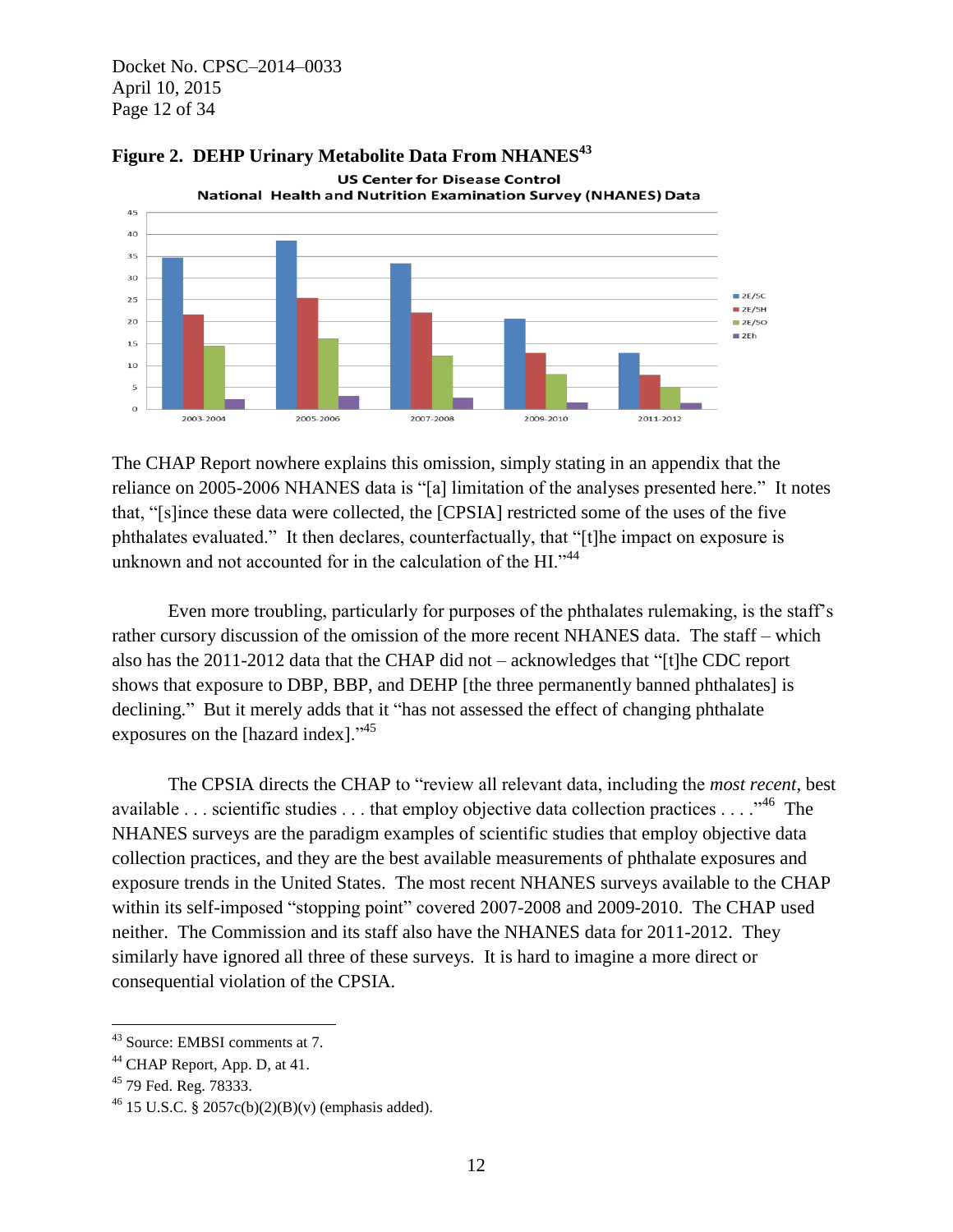Docket No. CPSC–2014–0033 April 10, 2015 Page 12 of 34





The CHAP Report nowhere explains this omission, simply stating in an appendix that the reliance on 2005-2006 NHANES data is "[a] limitation of the analyses presented here." It notes that, "[s]ince these data were collected, the [CPSIA] restricted some of the uses of the five phthalates evaluated." It then declares, counterfactually, that "[t]he impact on exposure is unknown and not accounted for in the calculation of the HI."<sup>44</sup>

Even more troubling, particularly for purposes of the phthalates rulemaking, is the staff's rather cursory discussion of the omission of the more recent NHANES data. The staff – which also has the 2011-2012 data that the CHAP did not – acknowledges that "[t]he CDC report shows that exposure to DBP, BBP, and DEHP [the three permanently banned phthalates] is declining." But it merely adds that it "has not assessed the effect of changing phthalate exposures on the [hazard index]."<sup>45</sup>

The CPSIA directs the CHAP to "review all relevant data, including the *most recent*, best available ... scientific studies ... that employ objective data collection practices ...  $\cdot$ <sup>46</sup> The NHANES surveys are the paradigm examples of scientific studies that employ objective data collection practices, and they are the best available measurements of phthalate exposures and exposure trends in the United States. The most recent NHANES surveys available to the CHAP within its self-imposed "stopping point" covered 2007-2008 and 2009-2010. The CHAP used neither. The Commission and its staff also have the NHANES data for 2011-2012. They similarly have ignored all three of these surveys. It is hard to imagine a more direct or consequential violation of the CPSIA.

<sup>43</sup> Source: EMBSI comments at 7.

<sup>&</sup>lt;sup>44</sup> CHAP Report, App. D, at 41.

<sup>45</sup> 79 Fed. Reg. 78333.

<sup>&</sup>lt;sup>46</sup> 15 U.S.C. § 2057c(b)(2)(B)(v) (emphasis added).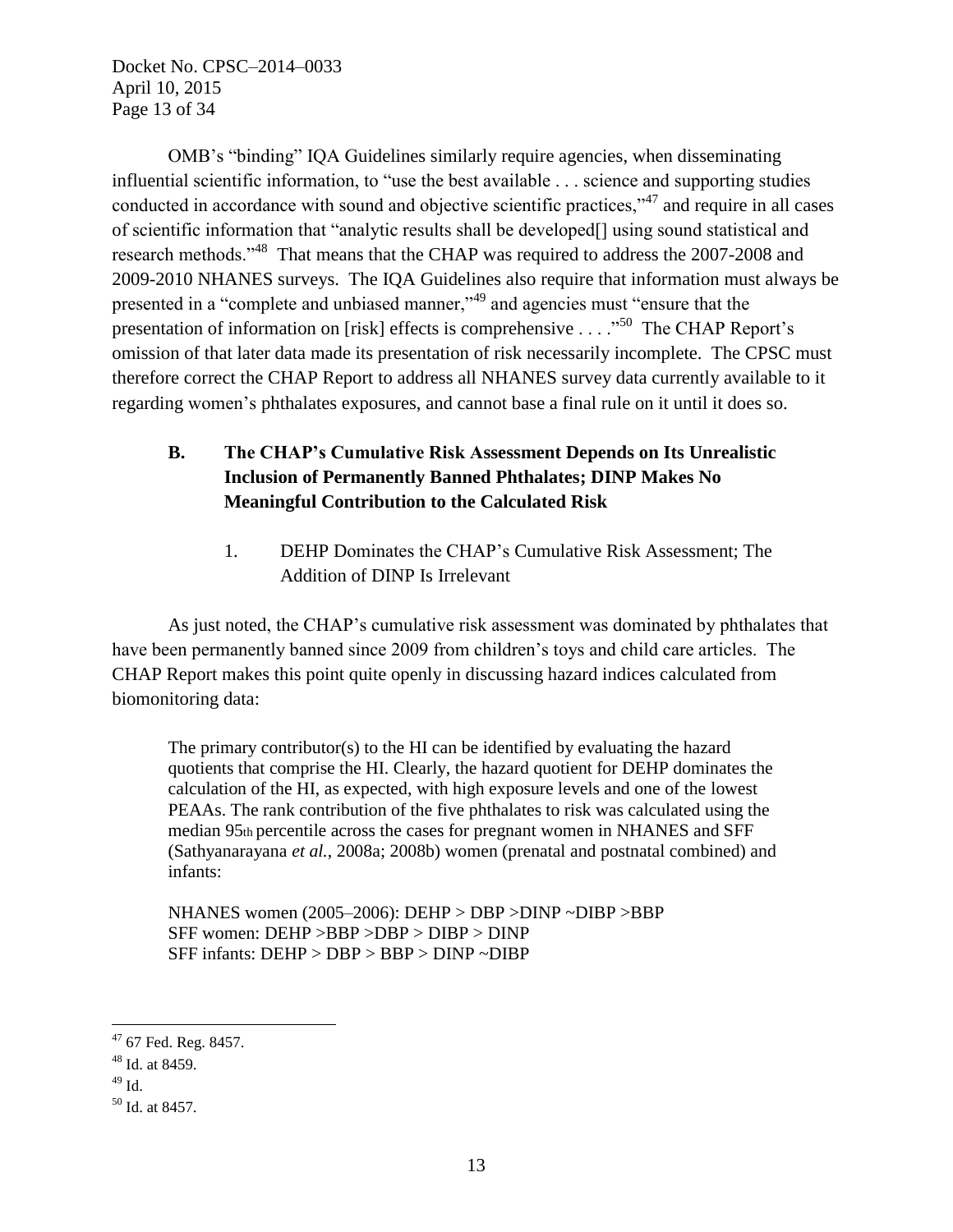Docket No. CPSC–2014–0033 April 10, 2015 Page 13 of 34

OMB's "binding" IQA Guidelines similarly require agencies, when disseminating influential scientific information, to "use the best available . . . science and supporting studies conducted in accordance with sound and objective scientific practices," $47$  and require in all cases of scientific information that "analytic results shall be developed[] using sound statistical and research methods."<sup>48</sup> That means that the CHAP was required to address the 2007-2008 and 2009-2010 NHANES surveys. The IQA Guidelines also require that information must always be presented in a "complete and unbiased manner,"<sup>49</sup> and agencies must "ensure that the presentation of information on [risk] effects is comprehensive . . . .<sup>50</sup> The CHAP Report's omission of that later data made its presentation of risk necessarily incomplete. The CPSC must therefore correct the CHAP Report to address all NHANES survey data currently available to it regarding women's phthalates exposures, and cannot base a final rule on it until it does so.

# **B. The CHAP's Cumulative Risk Assessment Depends on Its Unrealistic Inclusion of Permanently Banned Phthalates; DINP Makes No Meaningful Contribution to the Calculated Risk**

1. DEHP Dominates the CHAP's Cumulative Risk Assessment; The Addition of DINP Is Irrelevant

As just noted, the CHAP's cumulative risk assessment was dominated by phthalates that have been permanently banned since 2009 from children's toys and child care articles. The CHAP Report makes this point quite openly in discussing hazard indices calculated from biomonitoring data:

The primary contributor(s) to the HI can be identified by evaluating the hazard quotients that comprise the HI. Clearly, the hazard quotient for DEHP dominates the calculation of the HI, as expected, with high exposure levels and one of the lowest PEAAs. The rank contribution of the five phthalates to risk was calculated using the median 95th percentile across the cases for pregnant women in NHANES and SFF (Sathyanarayana *et al.*, 2008a; 2008b) women (prenatal and postnatal combined) and infants:

NHANES women (2005–2006): DEHP > DBP >DINP ~DIBP >BBP SFF women: DEHP >BBP >DBP > DIBP > DINP SFF infants: DEHP > DBP > BBP > DINP ~DIBP

<sup>47</sup> 67 Fed. Reg. 8457.

<sup>48</sup> Id. at 8459.

 $49$  Id.

<sup>50</sup> Id. at 8457.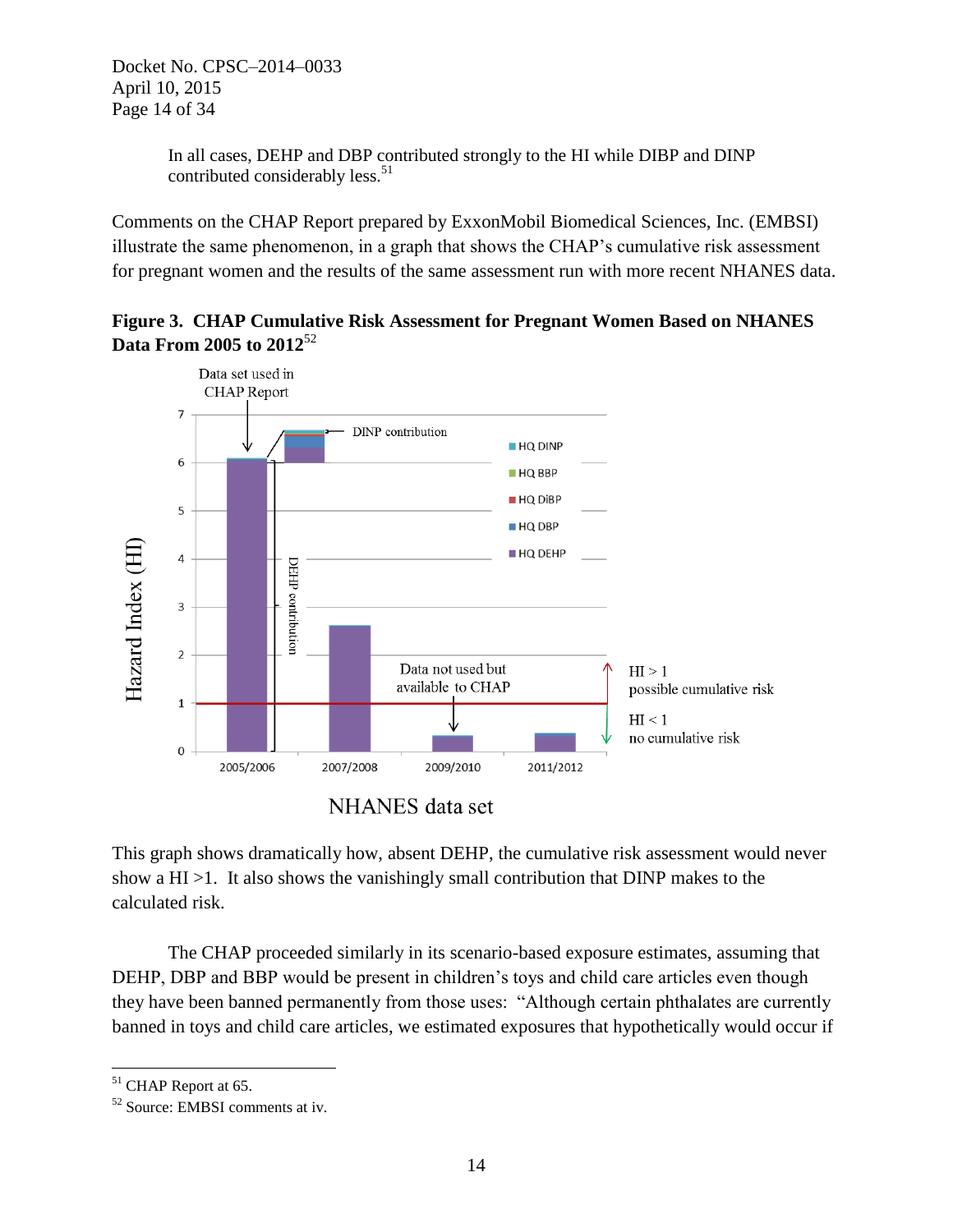In all cases, DEHP and DBP contributed strongly to the HI while DIBP and DINP contributed considerably less.<sup>51</sup>

Comments on the CHAP Report prepared by ExxonMobil Biomedical Sciences, Inc. (EMBSI) illustrate the same phenomenon, in a graph that shows the CHAP's cumulative risk assessment for pregnant women and the results of the same assessment run with more recent NHANES data.

**Figure 3. CHAP Cumulative Risk Assessment for Pregnant Women Based on NHANES Data From 2005 to 2012**<sup>52</sup>



**NHANES** data set

This graph shows dramatically how, absent DEHP, the cumulative risk assessment would never show a HI >1. It also shows the vanishingly small contribution that DINP makes to the calculated risk.

The CHAP proceeded similarly in its scenario-based exposure estimates, assuming that DEHP, DBP and BBP would be present in children's toys and child care articles even though they have been banned permanently from those uses: "Although certain phthalates are currently banned in toys and child care articles, we estimated exposures that hypothetically would occur if

 $\overline{a}$ <sup>51</sup> CHAP Report at 65.

<sup>52</sup> Source: EMBSI comments at iv.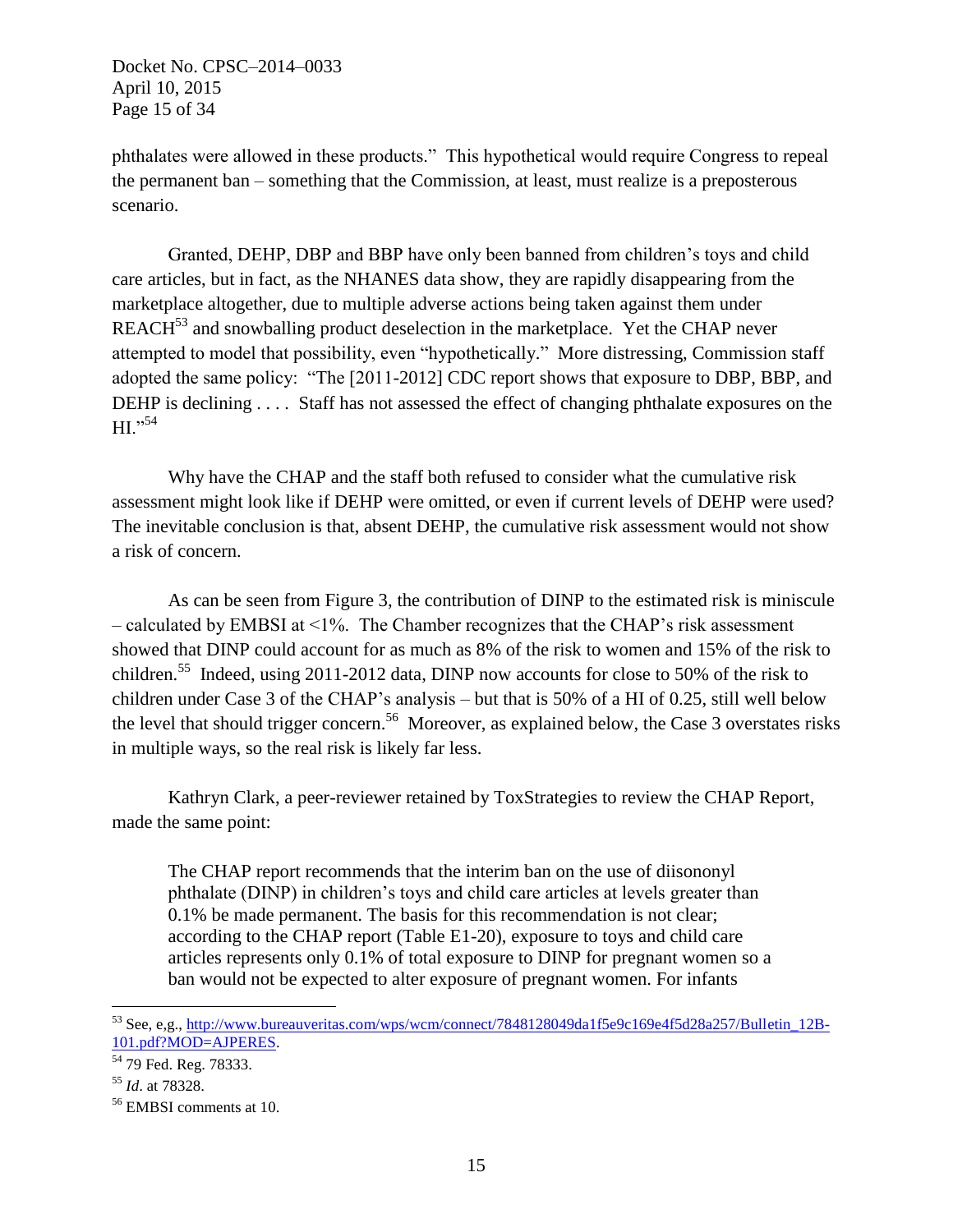Docket No. CPSC–2014–0033 April 10, 2015 Page 15 of 34

phthalates were allowed in these products." This hypothetical would require Congress to repeal the permanent ban – something that the Commission, at least, must realize is a preposterous scenario.

Granted, DEHP, DBP and BBP have only been banned from children's toys and child care articles, but in fact, as the NHANES data show, they are rapidly disappearing from the marketplace altogether, due to multiple adverse actions being taken against them under REACH<sup>53</sup> and snowballing product deselection in the marketplace. Yet the CHAP never attempted to model that possibility, even "hypothetically." More distressing, Commission staff adopted the same policy: "The [2011-2012] CDC report shows that exposure to DBP, BBP, and DEHP is declining . . . . Staff has not assessed the effect of changing phthalate exposures on the  $HI.$ <sup>"54</sup>

Why have the CHAP and the staff both refused to consider what the cumulative risk assessment might look like if DEHP were omitted, or even if current levels of DEHP were used? The inevitable conclusion is that, absent DEHP, the cumulative risk assessment would not show a risk of concern.

As can be seen from Figure 3, the contribution of DINP to the estimated risk is miniscule – calculated by EMBSI at <1%. The Chamber recognizes that the CHAP's risk assessment showed that DINP could account for as much as 8% of the risk to women and 15% of the risk to children.<sup>55</sup> Indeed, using 2011-2012 data, DINP now accounts for close to 50% of the risk to children under Case 3 of the CHAP's analysis – but that is 50% of a HI of 0.25, still well below the level that should trigger concern.<sup>56</sup> Moreover, as explained below, the Case 3 overstates risks in multiple ways, so the real risk is likely far less.

Kathryn Clark, a peer-reviewer retained by ToxStrategies to review the CHAP Report, made the same point:

The CHAP report recommends that the interim ban on the use of diisononyl phthalate (DINP) in children's toys and child care articles at levels greater than 0.1% be made permanent. The basis for this recommendation is not clear; according to the CHAP report (Table E1-20), exposure to toys and child care articles represents only 0.1% of total exposure to DINP for pregnant women so a ban would not be expected to alter exposure of pregnant women. For infants

<sup>53</sup> See, e,g., [http://www.bureauveritas.com/wps/wcm/connect/7848128049da1f5e9c169e4f5d28a257/Bulletin\\_12B-](http://www.bureauveritas.com/wps/wcm/connect/7848128049da1f5e9c169e4f5d28a257/Bulletin_12B-101.pdf?MOD=AJPERES)[101.pdf?MOD=AJPERES.](http://www.bureauveritas.com/wps/wcm/connect/7848128049da1f5e9c169e4f5d28a257/Bulletin_12B-101.pdf?MOD=AJPERES)

<sup>54</sup> 79 Fed. Reg. 78333.

<sup>55</sup> *Id*. at 78328.

<sup>56</sup> EMBSI comments at 10.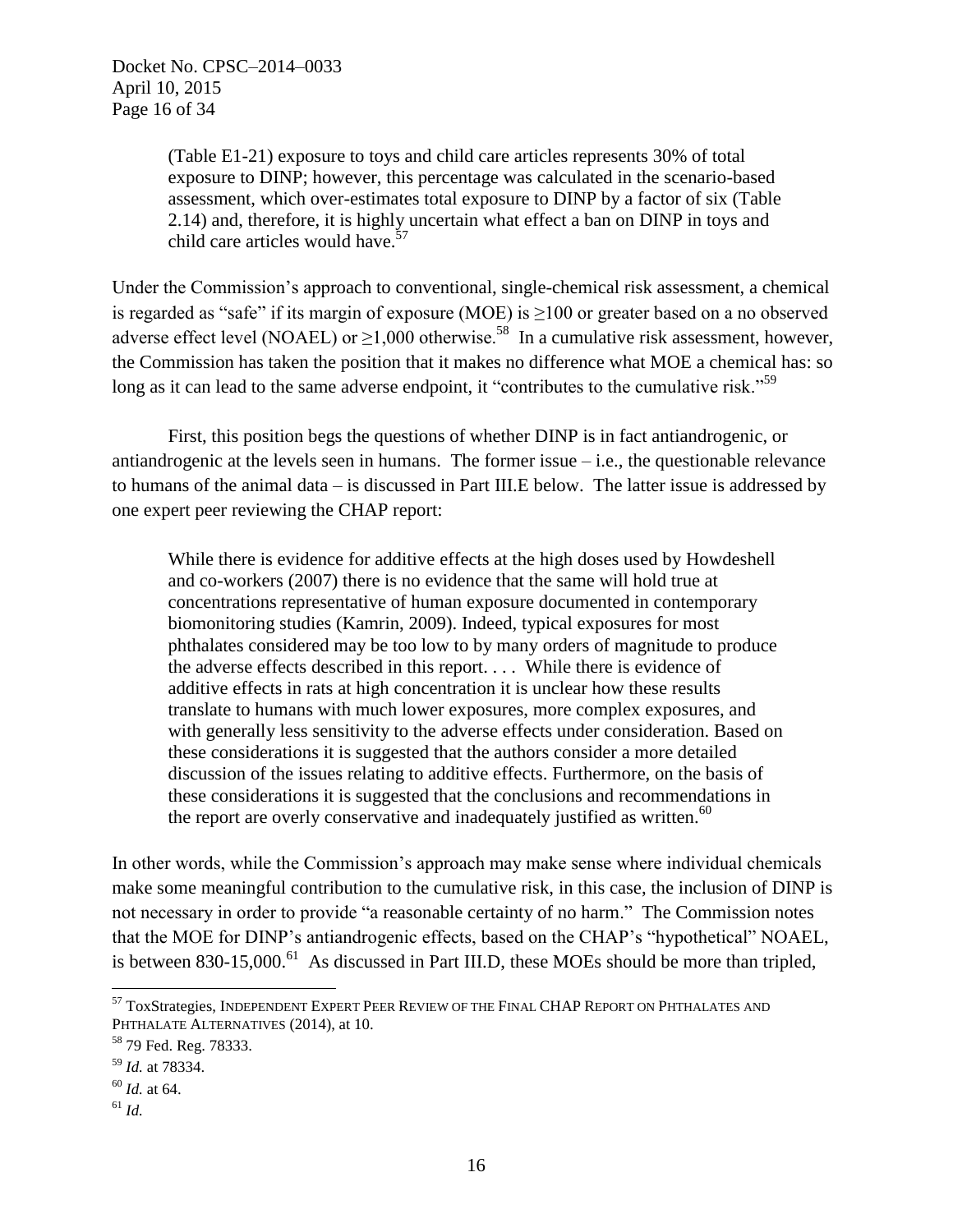(Table E1-21) exposure to toys and child care articles represents 30% of total exposure to DINP; however, this percentage was calculated in the scenario-based assessment, which over-estimates total exposure to DINP by a factor of six (Table 2.14) and, therefore, it is highly uncertain what effect a ban on DINP in toys and child care articles would have.<sup>57</sup>

Under the Commission's approach to conventional, single-chemical risk assessment, a chemical is regarded as "safe" if its margin of exposure (MOE) is ≥100 or greater based on a no observed adverse effect level (NOAEL) or  $>1,000$  otherwise.<sup>58</sup> In a cumulative risk assessment, however, the Commission has taken the position that it makes no difference what MOE a chemical has: so long as it can lead to the same adverse endpoint, it "contributes to the cumulative risk."<sup>59</sup>

First, this position begs the questions of whether DINP is in fact antiandrogenic, or antiandrogenic at the levels seen in humans. The former issue  $-i.e.,$  the questionable relevance to humans of the animal data – is discussed in Part III.E below. The latter issue is addressed by one expert peer reviewing the CHAP report:

While there is evidence for additive effects at the high doses used by Howdeshell and co-workers (2007) there is no evidence that the same will hold true at concentrations representative of human exposure documented in contemporary biomonitoring studies (Kamrin, 2009). Indeed, typical exposures for most phthalates considered may be too low to by many orders of magnitude to produce the adverse effects described in this report. . . . While there is evidence of additive effects in rats at high concentration it is unclear how these results translate to humans with much lower exposures, more complex exposures, and with generally less sensitivity to the adverse effects under consideration. Based on these considerations it is suggested that the authors consider a more detailed discussion of the issues relating to additive effects. Furthermore, on the basis of these considerations it is suggested that the conclusions and recommendations in the report are overly conservative and inadequately justified as written.<sup>60</sup>

In other words, while the Commission's approach may make sense where individual chemicals make some meaningful contribution to the cumulative risk, in this case, the inclusion of DINP is not necessary in order to provide "a reasonable certainty of no harm." The Commission notes that the MOE for DINP's antiandrogenic effects, based on the CHAP's "hypothetical" NOAEL, is between  $830-15,000$ .<sup>61</sup> As discussed in Part III.D, these MOEs should be more than tripled,

<sup>57</sup> ToxStrategies, INDEPENDENT EXPERT PEER REVIEW OF THE FINAL CHAP REPORT ON PHTHALATES AND PHTHALATE ALTERNATIVES (2014), at 10.

<sup>58</sup> 79 Fed. Reg. 78333.

<sup>59</sup> *Id.* at 78334.

<sup>60</sup> *Id.* at 64.

<sup>61</sup> *Id.*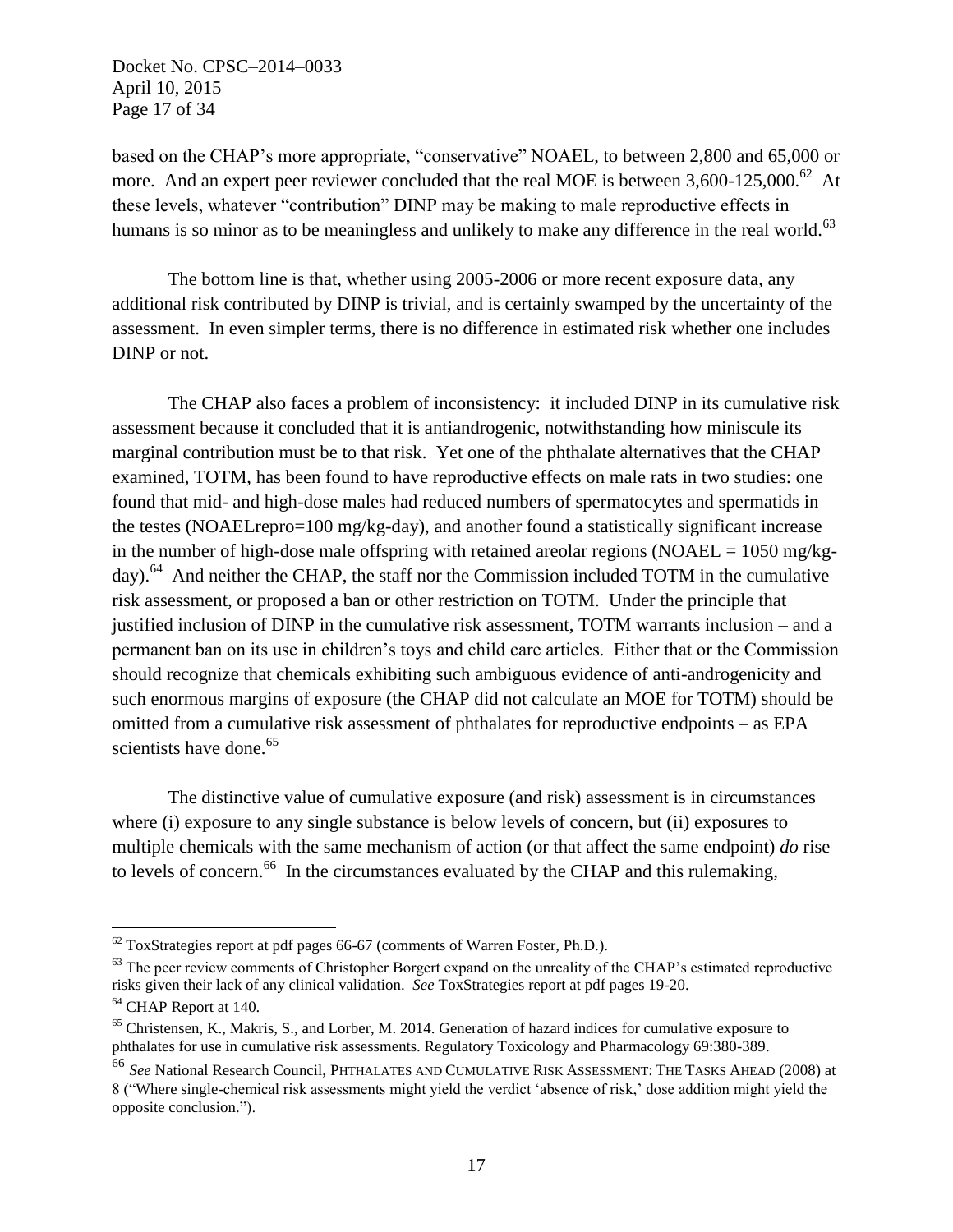Docket No. CPSC–2014–0033 April 10, 2015 Page 17 of 34

based on the CHAP's more appropriate, "conservative" NOAEL, to between 2,800 and 65,000 or more. And an expert peer reviewer concluded that the real MOE is between  $3,600-125,000$ .<sup>62</sup> At these levels, whatever "contribution" DINP may be making to male reproductive effects in humans is so minor as to be meaningless and unlikely to make any difference in the real world.<sup>63</sup>

The bottom line is that, whether using 2005-2006 or more recent exposure data, any additional risk contributed by DINP is trivial, and is certainly swamped by the uncertainty of the assessment. In even simpler terms, there is no difference in estimated risk whether one includes DINP or not.

The CHAP also faces a problem of inconsistency: it included DINP in its cumulative risk assessment because it concluded that it is antiandrogenic, notwithstanding how miniscule its marginal contribution must be to that risk. Yet one of the phthalate alternatives that the CHAP examined, TOTM, has been found to have reproductive effects on male rats in two studies: one found that mid- and high-dose males had reduced numbers of spermatocytes and spermatids in the testes (NOAELrepro=100 mg/kg-day), and another found a statistically significant increase in the number of high-dose male offspring with retained areolar regions (NOAEL =  $1050$  mg/kgday).<sup>64</sup> And neither the CHAP, the staff nor the Commission included TOTM in the cumulative risk assessment, or proposed a ban or other restriction on TOTM. Under the principle that justified inclusion of DINP in the cumulative risk assessment, TOTM warrants inclusion – and a permanent ban on its use in children's toys and child care articles. Either that or the Commission should recognize that chemicals exhibiting such ambiguous evidence of anti-androgenicity and such enormous margins of exposure (the CHAP did not calculate an MOE for TOTM) should be omitted from a cumulative risk assessment of phthalates for reproductive endpoints – as EPA scientists have done.<sup>65</sup>

The distinctive value of cumulative exposure (and risk) assessment is in circumstances where (i) exposure to any single substance is below levels of concern, but (ii) exposures to multiple chemicals with the same mechanism of action (or that affect the same endpoint) *do* rise to levels of concern.<sup>66</sup> In the circumstances evaluated by the CHAP and this rulemaking,

 $62$  ToxStrategies report at pdf pages 66-67 (comments of Warren Foster, Ph.D.).

<sup>&</sup>lt;sup>63</sup> The peer review comments of Christopher Borgert expand on the unreality of the CHAP's estimated reproductive risks given their lack of any clinical validation. *See* ToxStrategies report at pdf pages 19-20. <sup>64</sup> CHAP Report at 140.

 $<sup>65</sup>$  Christensen, K., Makris, S., and Lorber, M. 2014. Generation of hazard indices for cumulative exposure to</sup> phthalates for use in cumulative risk assessments. Regulatory Toxicology and Pharmacology 69:380-389.

<sup>66</sup> *See* National Research Council, PHTHALATES AND CUMULATIVE RISK ASSESSMENT: THE TASKS AHEAD (2008) at 8 ("Where single-chemical risk assessments might yield the verdict 'absence of risk,' dose addition might yield the opposite conclusion.").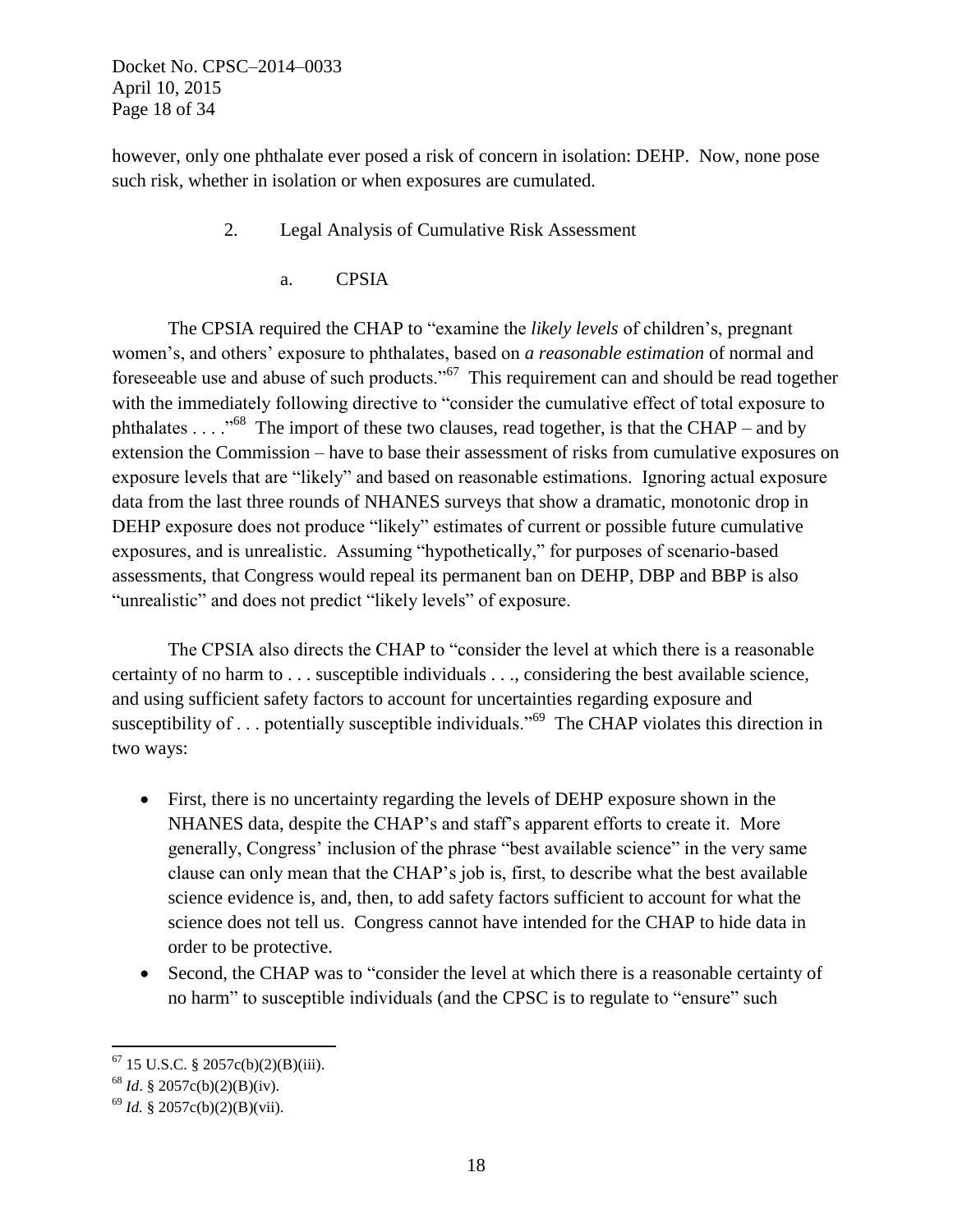Docket No. CPSC–2014–0033 April 10, 2015 Page 18 of 34

however, only one phthalate ever posed a risk of concern in isolation: DEHP. Now, none pose such risk, whether in isolation or when exposures are cumulated.

- 2. Legal Analysis of Cumulative Risk Assessment
	- a. CPSIA

The CPSIA required the CHAP to "examine the *likely levels* of children's, pregnant women's, and others' exposure to phthalates, based on *a reasonable estimation* of normal and foreseeable use and abuse of such products."<sup>67</sup> This requirement can and should be read together with the immediately following directive to "consider the cumulative effect of total exposure to phthalates . . . ."<sup>68</sup> The import of these two clauses, read together, is that the CHAP – and by extension the Commission – have to base their assessment of risks from cumulative exposures on exposure levels that are "likely" and based on reasonable estimations. Ignoring actual exposure data from the last three rounds of NHANES surveys that show a dramatic, monotonic drop in DEHP exposure does not produce "likely" estimates of current or possible future cumulative exposures, and is unrealistic. Assuming "hypothetically," for purposes of scenario-based assessments, that Congress would repeal its permanent ban on DEHP, DBP and BBP is also "unrealistic" and does not predict "likely levels" of exposure.

The CPSIA also directs the CHAP to "consider the level at which there is a reasonable certainty of no harm to . . . susceptible individuals . . ., considering the best available science, and using sufficient safety factors to account for uncertainties regarding exposure and susceptibility of . . . potentially susceptible individuals."<sup>69</sup> The CHAP violates this direction in two ways:

- First, there is no uncertainty regarding the levels of DEHP exposure shown in the NHANES data, despite the CHAP's and staff's apparent efforts to create it. More generally, Congress' inclusion of the phrase "best available science" in the very same clause can only mean that the CHAP's job is, first, to describe what the best available science evidence is, and, then, to add safety factors sufficient to account for what the science does not tell us. Congress cannot have intended for the CHAP to hide data in order to be protective.
- Second, the CHAP was to "consider the level at which there is a reasonable certainty of no harm" to susceptible individuals (and the CPSC is to regulate to "ensure" such

 $67$  15 U.S.C. § 2057c(b)(2)(B)(iii).

<sup>68</sup> *Id*. § 2057c(b)(2)(B)(iv).

<sup>69</sup> *Id.* § 2057c(b)(2)(B)(vii).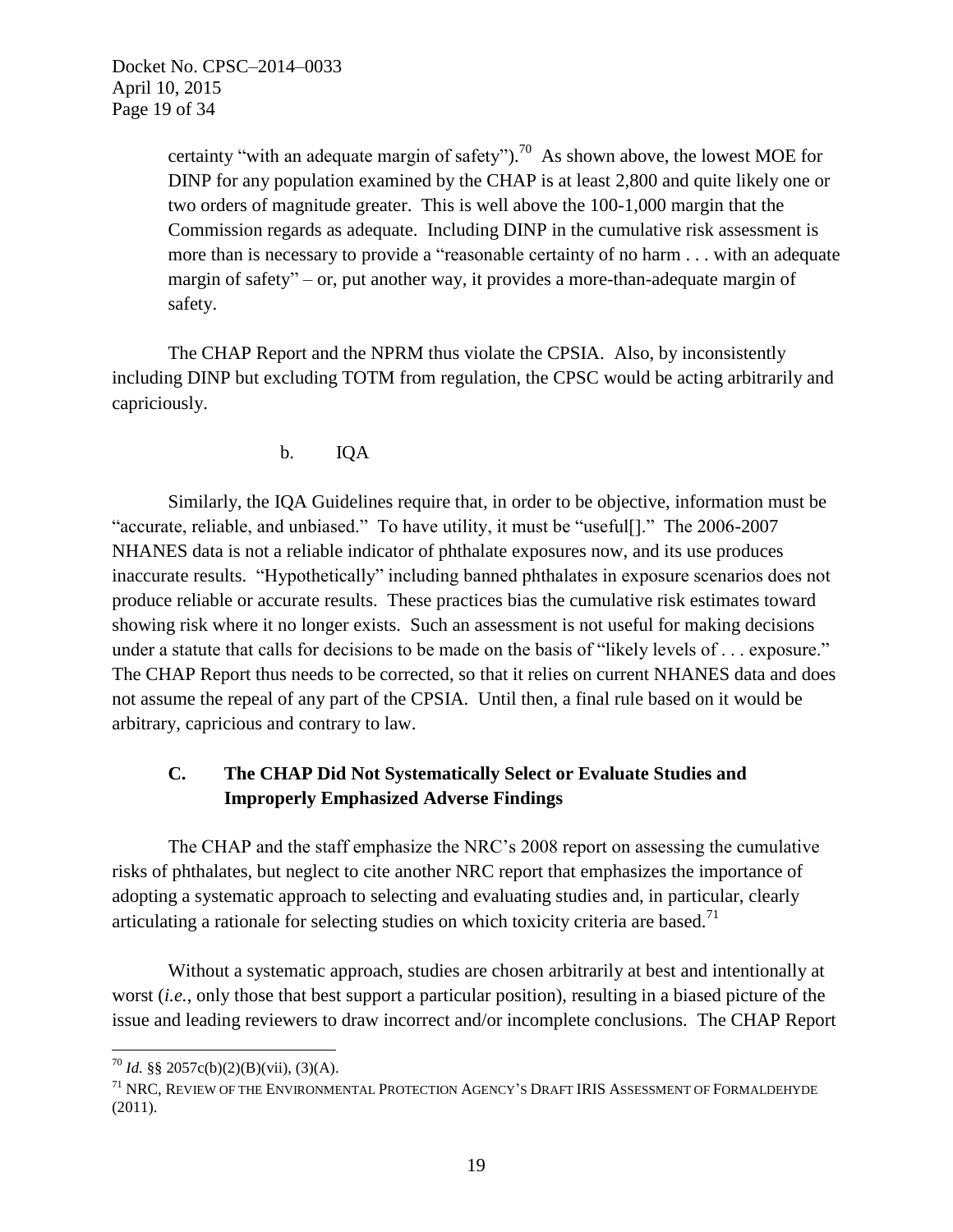Docket No. CPSC–2014–0033 April 10, 2015 Page 19 of 34

> certainty "with an adequate margin of safety").<sup>70</sup> As shown above, the lowest MOE for DINP for any population examined by the CHAP is at least 2,800 and quite likely one or two orders of magnitude greater. This is well above the 100-1,000 margin that the Commission regards as adequate. Including DINP in the cumulative risk assessment is more than is necessary to provide a "reasonable certainty of no harm . . . with an adequate margin of safety" – or, put another way, it provides a more-than-adequate margin of safety.

The CHAP Report and the NPRM thus violate the CPSIA. Also, by inconsistently including DINP but excluding TOTM from regulation, the CPSC would be acting arbitrarily and capriciously.

### b. IQA

Similarly, the IQA Guidelines require that, in order to be objective, information must be "accurate, reliable, and unbiased." To have utility, it must be "useful[]." The 2006-2007 NHANES data is not a reliable indicator of phthalate exposures now, and its use produces inaccurate results. "Hypothetically" including banned phthalates in exposure scenarios does not produce reliable or accurate results. These practices bias the cumulative risk estimates toward showing risk where it no longer exists. Such an assessment is not useful for making decisions under a statute that calls for decisions to be made on the basis of "likely levels of . . . exposure." The CHAP Report thus needs to be corrected, so that it relies on current NHANES data and does not assume the repeal of any part of the CPSIA. Until then, a final rule based on it would be arbitrary, capricious and contrary to law.

## **C. The CHAP Did Not Systematically Select or Evaluate Studies and Improperly Emphasized Adverse Findings**

The CHAP and the staff emphasize the NRC's 2008 report on assessing the cumulative risks of phthalates, but neglect to cite another NRC report that emphasizes the importance of adopting a systematic approach to selecting and evaluating studies and, in particular, clearly articulating a rationale for selecting studies on which toxicity criteria are based.<sup>71</sup>

Without a systematic approach, studies are chosen arbitrarily at best and intentionally at worst (*i.e.*, only those that best support a particular position), resulting in a biased picture of the issue and leading reviewers to draw incorrect and/or incomplete conclusions. The CHAP Report

<sup>&</sup>lt;sup>70</sup> *Id.* §§ 2057c(b)(2)(B)(vii), (3)(A).

<sup>71</sup> NRC, REVIEW OF THE ENVIRONMENTAL PROTECTION AGENCY'S DRAFT IRIS ASSESSMENT OF FORMALDEHYDE (2011).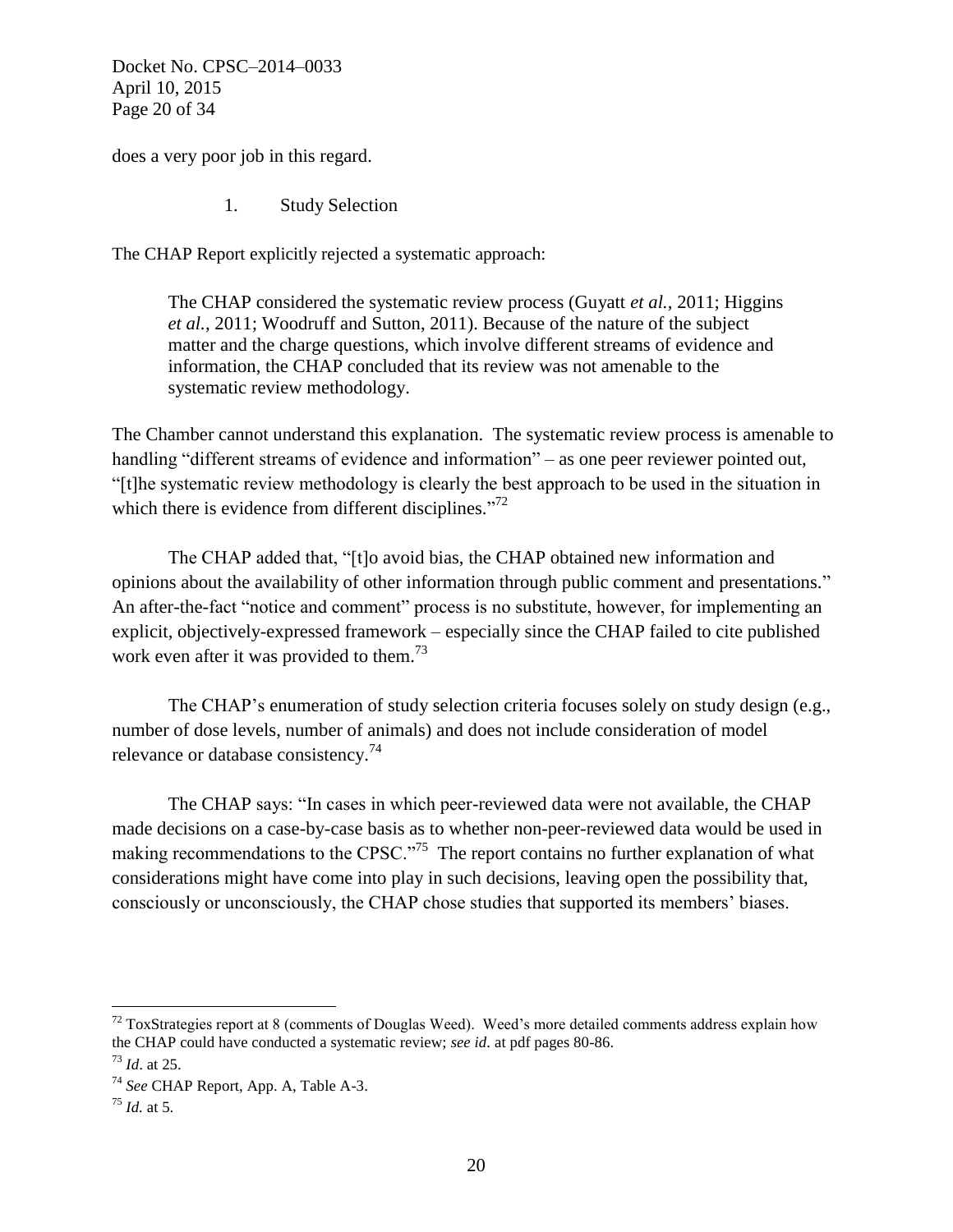Docket No. CPSC–2014–0033 April 10, 2015 Page 20 of 34

does a very poor job in this regard.

1. Study Selection

The CHAP Report explicitly rejected a systematic approach:

The CHAP considered the systematic review process (Guyatt *et al.*, 2011; Higgins *et al.*, 2011; Woodruff and Sutton, 2011). Because of the nature of the subject matter and the charge questions, which involve different streams of evidence and information, the CHAP concluded that its review was not amenable to the systematic review methodology.

The Chamber cannot understand this explanation. The systematic review process is amenable to handling "different streams of evidence and information" – as one peer reviewer pointed out, "[t]he systematic review methodology is clearly the best approach to be used in the situation in which there is evidence from different disciplines." $72$ 

The CHAP added that, "[t]o avoid bias, the CHAP obtained new information and opinions about the availability of other information through public comment and presentations." An after-the-fact "notice and comment" process is no substitute, however, for implementing an explicit, objectively-expressed framework – especially since the CHAP failed to cite published work even after it was provided to them.<sup>73</sup>

The CHAP's enumeration of study selection criteria focuses solely on study design (e.g., number of dose levels, number of animals) and does not include consideration of model relevance or database consistency.<sup>74</sup>

The CHAP says: "In cases in which peer-reviewed data were not available, the CHAP made decisions on a case-by-case basis as to whether non-peer-reviewed data would be used in making recommendations to the CPSC.<sup> $\frac{75}{5}$ </sup> The report contains no further explanation of what considerations might have come into play in such decisions, leaving open the possibility that, consciously or unconsciously, the CHAP chose studies that supported its members' biases.

 $72$  ToxStrategies report at 8 (comments of Douglas Weed). Weed's more detailed comments address explain how the CHAP could have conducted a systematic review; *see id*. at pdf pages 80-86.

<sup>73</sup> *Id*. at 25.

<sup>74</sup> *See* CHAP Report, App. A, Table A-3.

 $^{75}$  *Id.* at 5.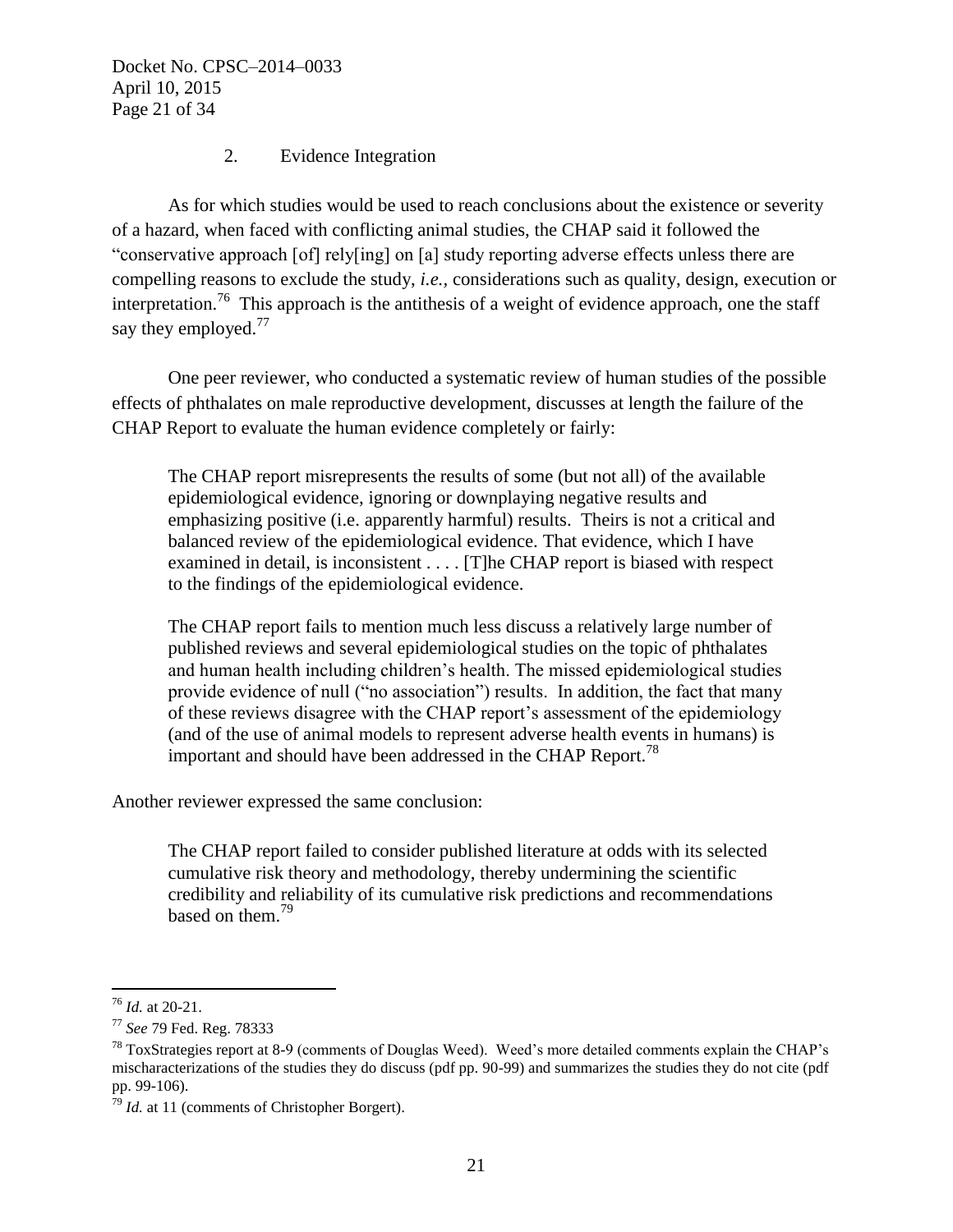Docket No. CPSC–2014–0033 April 10, 2015 Page 21 of 34

### 2. Evidence Integration

As for which studies would be used to reach conclusions about the existence or severity of a hazard, when faced with conflicting animal studies, the CHAP said it followed the "conservative approach [of] rely[ing] on [a] study reporting adverse effects unless there are compelling reasons to exclude the study, *i.e.,* considerations such as quality, design, execution or interpretation.<sup>76</sup> This approach is the antithesis of a weight of evidence approach, one the staff say they employed.<sup>77</sup>

One peer reviewer, who conducted a systematic review of human studies of the possible effects of phthalates on male reproductive development, discusses at length the failure of the CHAP Report to evaluate the human evidence completely or fairly:

The CHAP report misrepresents the results of some (but not all) of the available epidemiological evidence, ignoring or downplaying negative results and emphasizing positive (i.e. apparently harmful) results. Theirs is not a critical and balanced review of the epidemiological evidence. That evidence, which I have examined in detail, is inconsistent . . . . [T]he CHAP report is biased with respect to the findings of the epidemiological evidence.

The CHAP report fails to mention much less discuss a relatively large number of published reviews and several epidemiological studies on the topic of phthalates and human health including children's health. The missed epidemiological studies provide evidence of null ("no association") results. In addition, the fact that many of these reviews disagree with the CHAP report's assessment of the epidemiology (and of the use of animal models to represent adverse health events in humans) is important and should have been addressed in the CHAP Report.<sup>78</sup>

Another reviewer expressed the same conclusion:

The CHAP report failed to consider published literature at odds with its selected cumulative risk theory and methodology, thereby undermining the scientific credibility and reliability of its cumulative risk predictions and recommendations based on them. 79

<sup>76</sup> *Id.* at 20-21.

<sup>77</sup> *See* 79 Fed. Reg. 78333

 $78$  ToxStrategies report at 8-9 (comments of Douglas Weed). Weed's more detailed comments explain the CHAP's mischaracterizations of the studies they do discuss (pdf pp. 90-99) and summarizes the studies they do not cite (pdf pp. 99-106).

<sup>79</sup> *Id.* at 11 (comments of Christopher Borgert).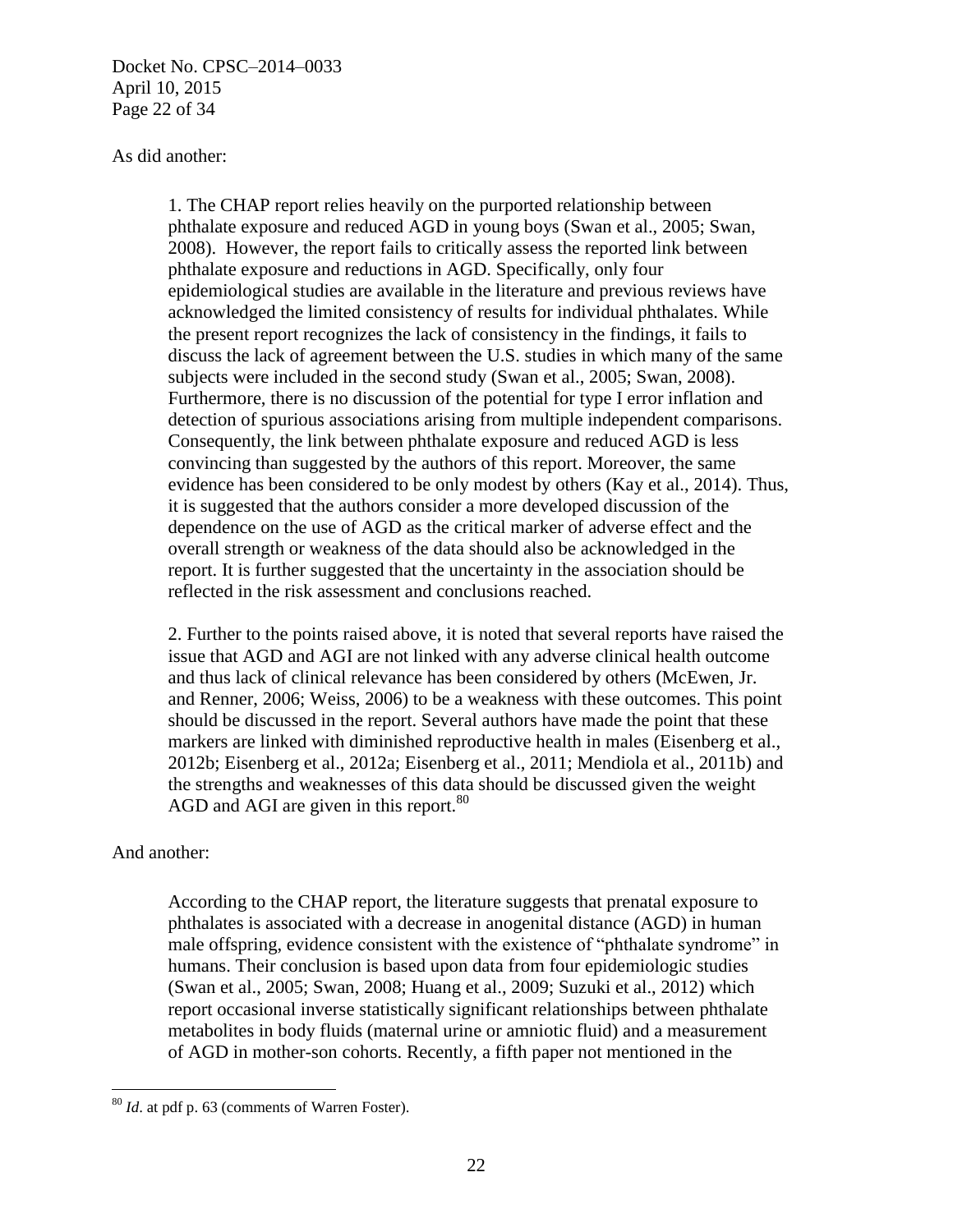Docket No. CPSC–2014–0033 April 10, 2015 Page 22 of 34

#### As did another:

1. The CHAP report relies heavily on the purported relationship between phthalate exposure and reduced AGD in young boys (Swan et al., 2005; Swan, 2008). However, the report fails to critically assess the reported link between phthalate exposure and reductions in AGD. Specifically, only four epidemiological studies are available in the literature and previous reviews have acknowledged the limited consistency of results for individual phthalates. While the present report recognizes the lack of consistency in the findings, it fails to discuss the lack of agreement between the U.S. studies in which many of the same subjects were included in the second study (Swan et al., 2005; Swan, 2008). Furthermore, there is no discussion of the potential for type I error inflation and detection of spurious associations arising from multiple independent comparisons. Consequently, the link between phthalate exposure and reduced AGD is less convincing than suggested by the authors of this report. Moreover, the same evidence has been considered to be only modest by others (Kay et al., 2014). Thus, it is suggested that the authors consider a more developed discussion of the dependence on the use of AGD as the critical marker of adverse effect and the overall strength or weakness of the data should also be acknowledged in the report. It is further suggested that the uncertainty in the association should be reflected in the risk assessment and conclusions reached.

2. Further to the points raised above, it is noted that several reports have raised the issue that AGD and AGI are not linked with any adverse clinical health outcome and thus lack of clinical relevance has been considered by others (McEwen, Jr. and Renner, 2006; Weiss, 2006) to be a weakness with these outcomes. This point should be discussed in the report. Several authors have made the point that these markers are linked with diminished reproductive health in males (Eisenberg et al., 2012b; Eisenberg et al., 2012a; Eisenberg et al., 2011; Mendiola et al., 2011b) and the strengths and weaknesses of this data should be discussed given the weight AGD and AGI are given in this report.  $80$ 

#### And another:

According to the CHAP report, the literature suggests that prenatal exposure to phthalates is associated with a decrease in anogenital distance (AGD) in human male offspring, evidence consistent with the existence of "phthalate syndrome" in humans. Their conclusion is based upon data from four epidemiologic studies (Swan et al., 2005; Swan, 2008; Huang et al., 2009; Suzuki et al., 2012) which report occasional inverse statistically significant relationships between phthalate metabolites in body fluids (maternal urine or amniotic fluid) and a measurement of AGD in mother-son cohorts. Recently, a fifth paper not mentioned in the

 $\overline{a}$ <sup>80</sup> *Id*. at pdf p. 63 (comments of Warren Foster).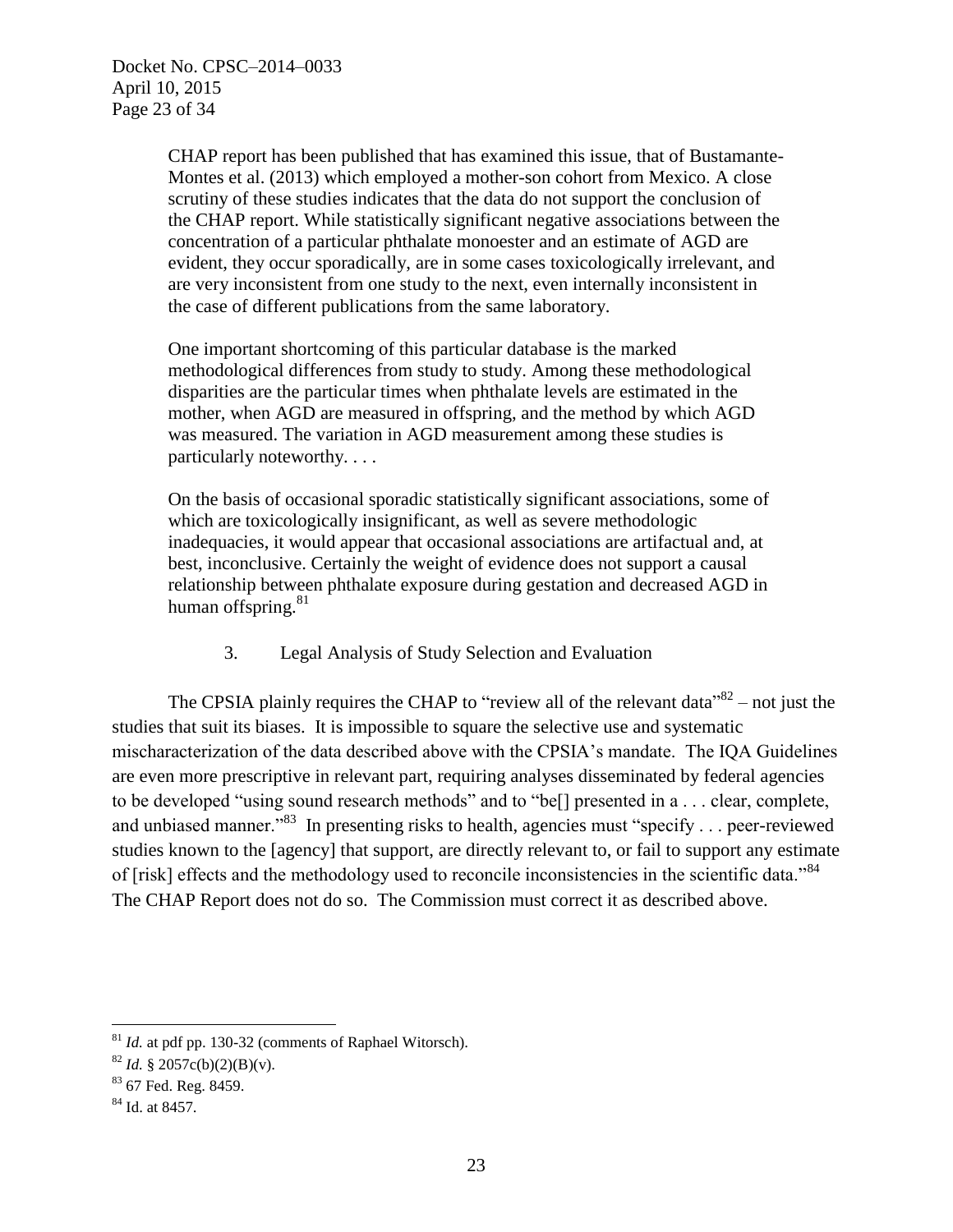CHAP report has been published that has examined this issue, that of Bustamante-Montes et al. (2013) which employed a mother-son cohort from Mexico. A close scrutiny of these studies indicates that the data do not support the conclusion of the CHAP report. While statistically significant negative associations between the concentration of a particular phthalate monoester and an estimate of AGD are evident, they occur sporadically, are in some cases toxicologically irrelevant, and are very inconsistent from one study to the next, even internally inconsistent in the case of different publications from the same laboratory.

One important shortcoming of this particular database is the marked methodological differences from study to study. Among these methodological disparities are the particular times when phthalate levels are estimated in the mother, when AGD are measured in offspring, and the method by which AGD was measured. The variation in AGD measurement among these studies is particularly noteworthy. . . .

On the basis of occasional sporadic statistically significant associations, some of which are toxicologically insignificant, as well as severe methodologic inadequacies, it would appear that occasional associations are artifactual and, at best, inconclusive. Certainly the weight of evidence does not support a causal relationship between phthalate exposure during gestation and decreased AGD in human offspring. $81$ 

3. Legal Analysis of Study Selection and Evaluation

The CPSIA plainly requires the CHAP to "review all of the relevant data"  $82$  – not just the studies that suit its biases. It is impossible to square the selective use and systematic mischaracterization of the data described above with the CPSIA's mandate. The IQA Guidelines are even more prescriptive in relevant part, requiring analyses disseminated by federal agencies to be developed "using sound research methods" and to "be[] presented in a . . . clear, complete, and unbiased manner."<sup>83</sup> In presenting risks to health, agencies must "specify . . . peer-reviewed studies known to the [agency] that support, are directly relevant to, or fail to support any estimate of [risk] effects and the methodology used to reconcile inconsistencies in the scientific data."<sup>84</sup> The CHAP Report does not do so. The Commission must correct it as described above.

<sup>&</sup>lt;sup>81</sup> *Id.* at pdf pp. 130-32 (comments of Raphael Witorsch).

 $82$  *Id.* § 2057c(b)(2)(B)(v).

<sup>83</sup> 67 Fed. Reg. 8459.

<sup>84</sup> Id. at 8457.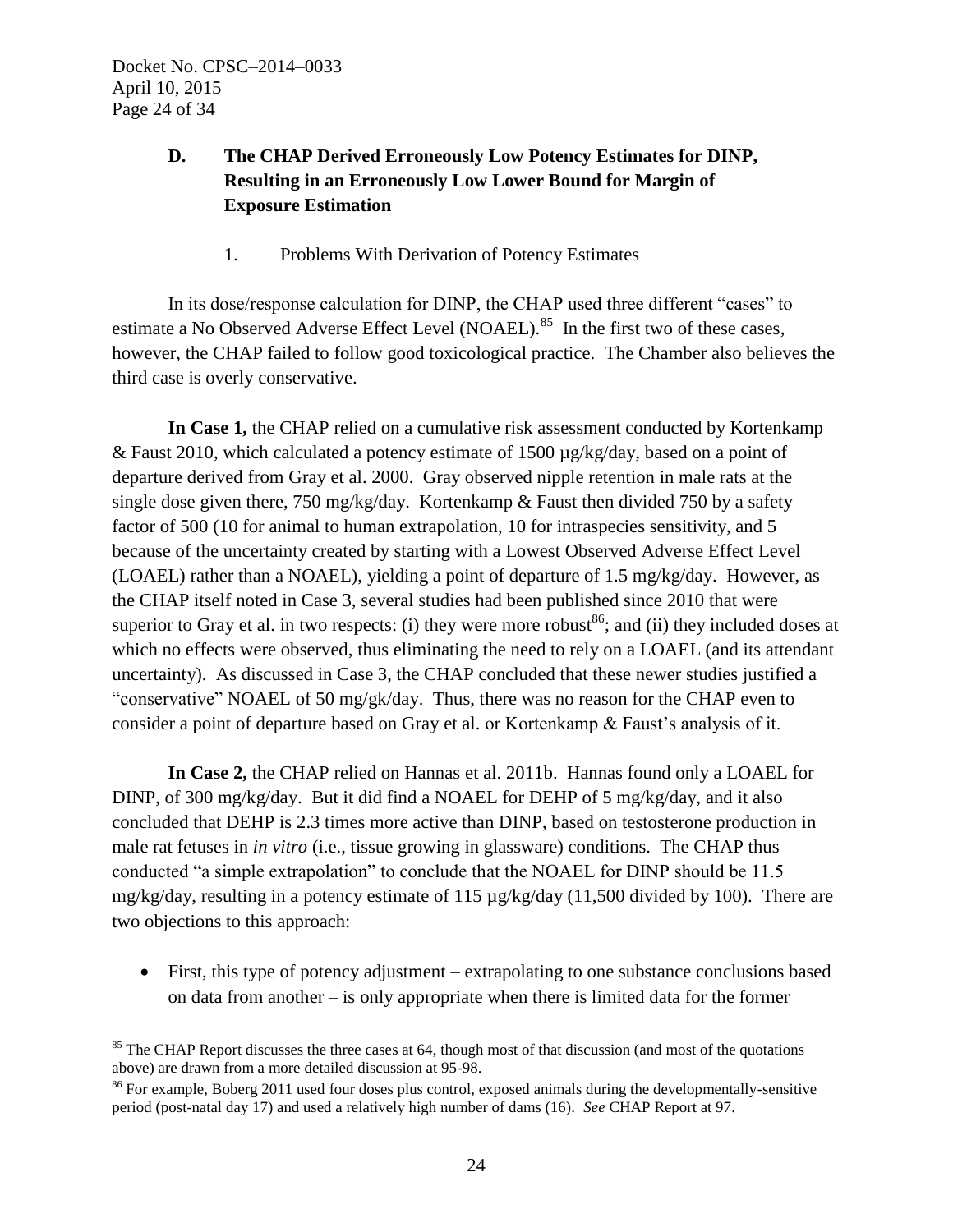# **D. The CHAP Derived Erroneously Low Potency Estimates for DINP, Resulting in an Erroneously Low Lower Bound for Margin of Exposure Estimation**

1. Problems With Derivation of Potency Estimates

In its dose/response calculation for DINP, the CHAP used three different "cases" to estimate a No Observed Adverse Effect Level (NOAEL).<sup>85</sup> In the first two of these cases, however, the CHAP failed to follow good toxicological practice. The Chamber also believes the third case is overly conservative.

**In Case 1,** the CHAP relied on a cumulative risk assessment conducted by Kortenkamp & Faust 2010, which calculated a potency estimate of 1500 µg/kg/day, based on a point of departure derived from Gray et al. 2000. Gray observed nipple retention in male rats at the single dose given there, 750 mg/kg/day. Kortenkamp  $&$  Faust then divided 750 by a safety factor of 500 (10 for animal to human extrapolation, 10 for intraspecies sensitivity, and 5 because of the uncertainty created by starting with a Lowest Observed Adverse Effect Level (LOAEL) rather than a NOAEL), yielding a point of departure of 1.5 mg/kg/day. However, as the CHAP itself noted in Case 3, several studies had been published since 2010 that were superior to Gray et al. in two respects: (i) they were more robust<sup>86</sup>; and (ii) they included doses at which no effects were observed, thus eliminating the need to rely on a LOAEL (and its attendant uncertainty). As discussed in Case 3, the CHAP concluded that these newer studies justified a "conservative" NOAEL of 50 mg/gk/day. Thus, there was no reason for the CHAP even to consider a point of departure based on Gray et al. or Kortenkamp & Faust's analysis of it.

**In Case 2,** the CHAP relied on Hannas et al. 2011b. Hannas found only a LOAEL for DINP, of 300 mg/kg/day. But it did find a NOAEL for DEHP of 5 mg/kg/day, and it also concluded that DEHP is 2.3 times more active than DINP, based on testosterone production in male rat fetuses in *in vitro* (i.e., tissue growing in glassware) conditions. The CHAP thus conducted "a simple extrapolation" to conclude that the NOAEL for DINP should be 11.5 mg/kg/day, resulting in a potency estimate of 115 µg/kg/day (11,500 divided by 100). There are two objections to this approach:

 First, this type of potency adjustment – extrapolating to one substance conclusions based on data from another – is only appropriate when there is limited data for the former

 $\overline{a}$ <sup>85</sup> The CHAP Report discusses the three cases at 64, though most of that discussion (and most of the quotations above) are drawn from a more detailed discussion at 95-98.

<sup>86</sup> For example, Boberg 2011 used four doses plus control, exposed animals during the developmentally-sensitive period (post-natal day 17) and used a relatively high number of dams (16). *See* CHAP Report at 97.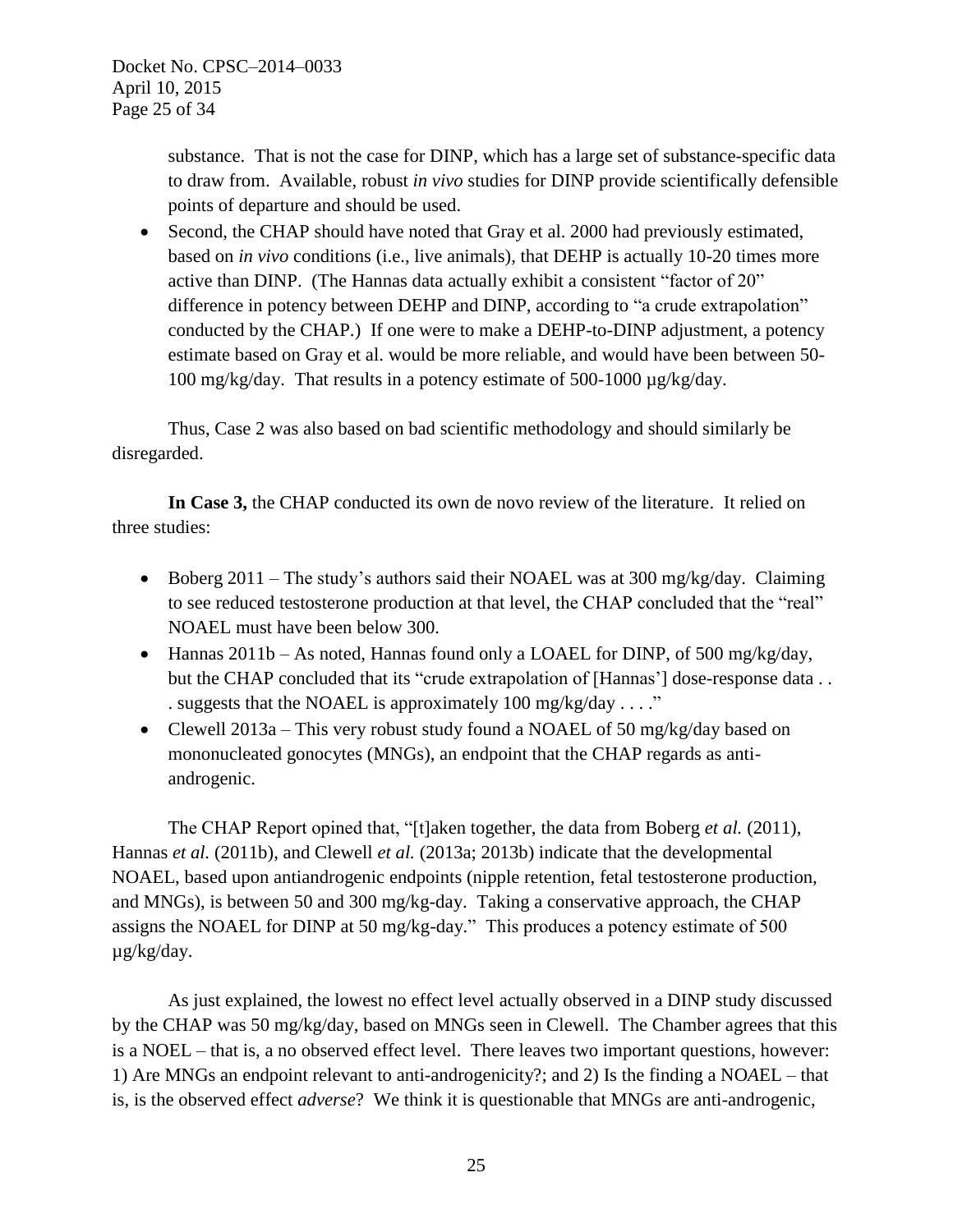substance. That is not the case for DINP, which has a large set of substance-specific data to draw from. Available, robust *in vivo* studies for DINP provide scientifically defensible points of departure and should be used.

• Second, the CHAP should have noted that Gray et al. 2000 had previously estimated, based on *in vivo* conditions (i.e., live animals), that DEHP is actually 10-20 times more active than DINP. (The Hannas data actually exhibit a consistent "factor of 20" difference in potency between DEHP and DINP, according to "a crude extrapolation" conducted by the CHAP.) If one were to make a DEHP-to-DINP adjustment, a potency estimate based on Gray et al. would be more reliable, and would have been between 50- 100 mg/kg/day. That results in a potency estimate of 500-1000 µg/kg/day.

Thus, Case 2 was also based on bad scientific methodology and should similarly be disregarded.

**In Case 3,** the CHAP conducted its own de novo review of the literature. It relied on three studies:

- Boberg 2011 The study's authors said their NOAEL was at 300 mg/kg/day. Claiming to see reduced testosterone production at that level, the CHAP concluded that the "real" NOAEL must have been below 300.
- Hannas 2011b As noted, Hannas found only a LOAEL for DINP, of 500 mg/kg/day, but the CHAP concluded that its "crude extrapolation of [Hannas'] dose-response data . . . suggests that the NOAEL is approximately 100 mg/kg/day . . . ."
- Clewell 2013a This very robust study found a NOAEL of 50 mg/kg/day based on mononucleated gonocytes (MNGs), an endpoint that the CHAP regards as antiandrogenic.

The CHAP Report opined that, "[t]aken together, the data from Boberg *et al.* (2011), Hannas *et al.* (2011b), and Clewell *et al.* (2013a; 2013b) indicate that the developmental NOAEL, based upon antiandrogenic endpoints (nipple retention, fetal testosterone production, and MNGs), is between 50 and 300 mg/kg-day. Taking a conservative approach, the CHAP assigns the NOAEL for DINP at 50 mg/kg-day." This produces a potency estimate of 500 µg/kg/day.

As just explained, the lowest no effect level actually observed in a DINP study discussed by the CHAP was 50 mg/kg/day, based on MNGs seen in Clewell. The Chamber agrees that this is a NOEL – that is, a no observed effect level. There leaves two important questions, however: 1) Are MNGs an endpoint relevant to anti-androgenicity?; and 2) Is the finding a NO*A*EL – that is, is the observed effect *adverse*? We think it is questionable that MNGs are anti-androgenic,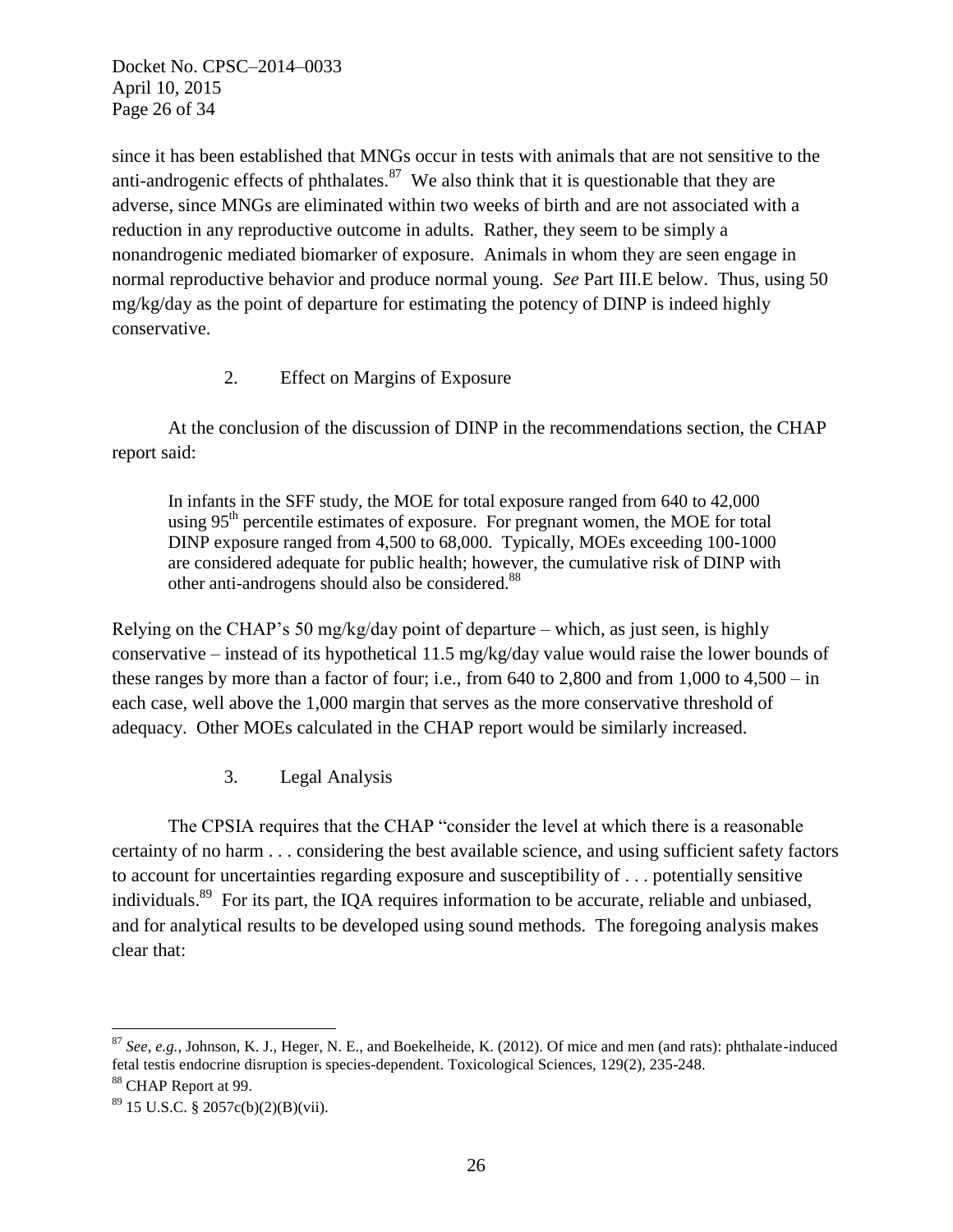Docket No. CPSC–2014–0033 April 10, 2015 Page 26 of 34

since it has been established that MNGs occur in tests with animals that are not sensitive to the anti-androgenic effects of phthalates. $87$  We also think that it is questionable that they are adverse, since MNGs are eliminated within two weeks of birth and are not associated with a reduction in any reproductive outcome in adults. Rather, they seem to be simply a nonandrogenic mediated biomarker of exposure. Animals in whom they are seen engage in normal reproductive behavior and produce normal young. *See* Part III.E below. Thus, using 50 mg/kg/day as the point of departure for estimating the potency of DINP is indeed highly conservative.

### 2. Effect on Margins of Exposure

At the conclusion of the discussion of DINP in the recommendations section, the CHAP report said:

In infants in the SFF study, the MOE for total exposure ranged from 640 to 42,000 using  $95<sup>th</sup>$  percentile estimates of exposure. For pregnant women, the MOE for total DINP exposure ranged from 4,500 to 68,000. Typically, MOEs exceeding 100-1000 are considered adequate for public health; however, the cumulative risk of DINP with other anti-androgens should also be considered.<sup>88</sup>

Relying on the CHAP's 50 mg/kg/day point of departure – which, as just seen, is highly conservative – instead of its hypothetical 11.5 mg/kg/day value would raise the lower bounds of these ranges by more than a factor of four; i.e., from  $640$  to  $2,800$  and from  $1,000$  to  $4,500 - in$ each case, well above the 1,000 margin that serves as the more conservative threshold of adequacy. Other MOEs calculated in the CHAP report would be similarly increased.

3. Legal Analysis

The CPSIA requires that the CHAP "consider the level at which there is a reasonable certainty of no harm . . . considering the best available science, and using sufficient safety factors to account for uncertainties regarding exposure and susceptibility of . . . potentially sensitive individuals.<sup>89</sup> For its part, the IQA requires information to be accurate, reliable and unbiased, and for analytical results to be developed using sound methods. The foregoing analysis makes clear that:

<sup>87</sup> *See, e.g.,* Johnson, K. J., Heger, N. E., and Boekelheide, K. (2012). Of mice and men (and rats): phthalate-induced fetal testis endocrine disruption is species-dependent. Toxicological Sciences, 129(2), 235-248. <sup>88</sup> CHAP Report at 99.

 $89$  15 U.S.C. § 2057c(b)(2)(B)(vii).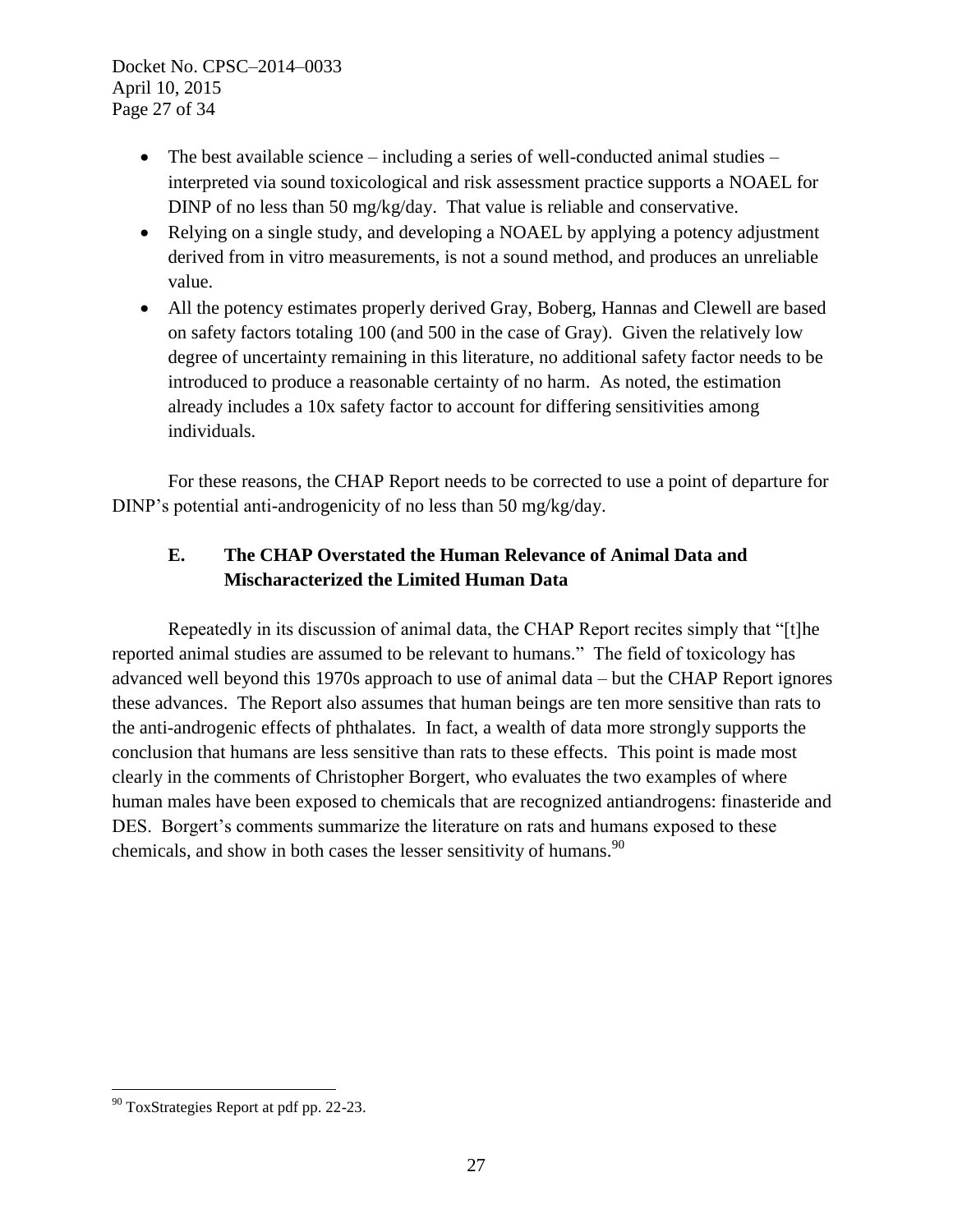Docket No. CPSC–2014–0033 April 10, 2015 Page 27 of 34

- The best available science including a series of well-conducted animal studies interpreted via sound toxicological and risk assessment practice supports a NOAEL for DINP of no less than 50 mg/kg/day. That value is reliable and conservative.
- Relying on a single study, and developing a NOAEL by applying a potency adjustment derived from in vitro measurements, is not a sound method, and produces an unreliable value.
- All the potency estimates properly derived Gray, Boberg, Hannas and Clewell are based on safety factors totaling 100 (and 500 in the case of Gray). Given the relatively low degree of uncertainty remaining in this literature, no additional safety factor needs to be introduced to produce a reasonable certainty of no harm. As noted, the estimation already includes a 10x safety factor to account for differing sensitivities among individuals.

For these reasons, the CHAP Report needs to be corrected to use a point of departure for DINP's potential anti-androgenicity of no less than 50 mg/kg/day.

# **E. The CHAP Overstated the Human Relevance of Animal Data and Mischaracterized the Limited Human Data**

Repeatedly in its discussion of animal data, the CHAP Report recites simply that "[t]he reported animal studies are assumed to be relevant to humans." The field of toxicology has advanced well beyond this 1970s approach to use of animal data – but the CHAP Report ignores these advances. The Report also assumes that human beings are ten more sensitive than rats to the anti-androgenic effects of phthalates. In fact, a wealth of data more strongly supports the conclusion that humans are less sensitive than rats to these effects. This point is made most clearly in the comments of Christopher Borgert, who evaluates the two examples of where human males have been exposed to chemicals that are recognized antiandrogens: finasteride and DES. Borgert's comments summarize the literature on rats and humans exposed to these chemicals, and show in both cases the lesser sensitivity of humans.<sup>90</sup>

 $\overline{a}$  $90$  ToxStrategies Report at pdf pp. 22-23.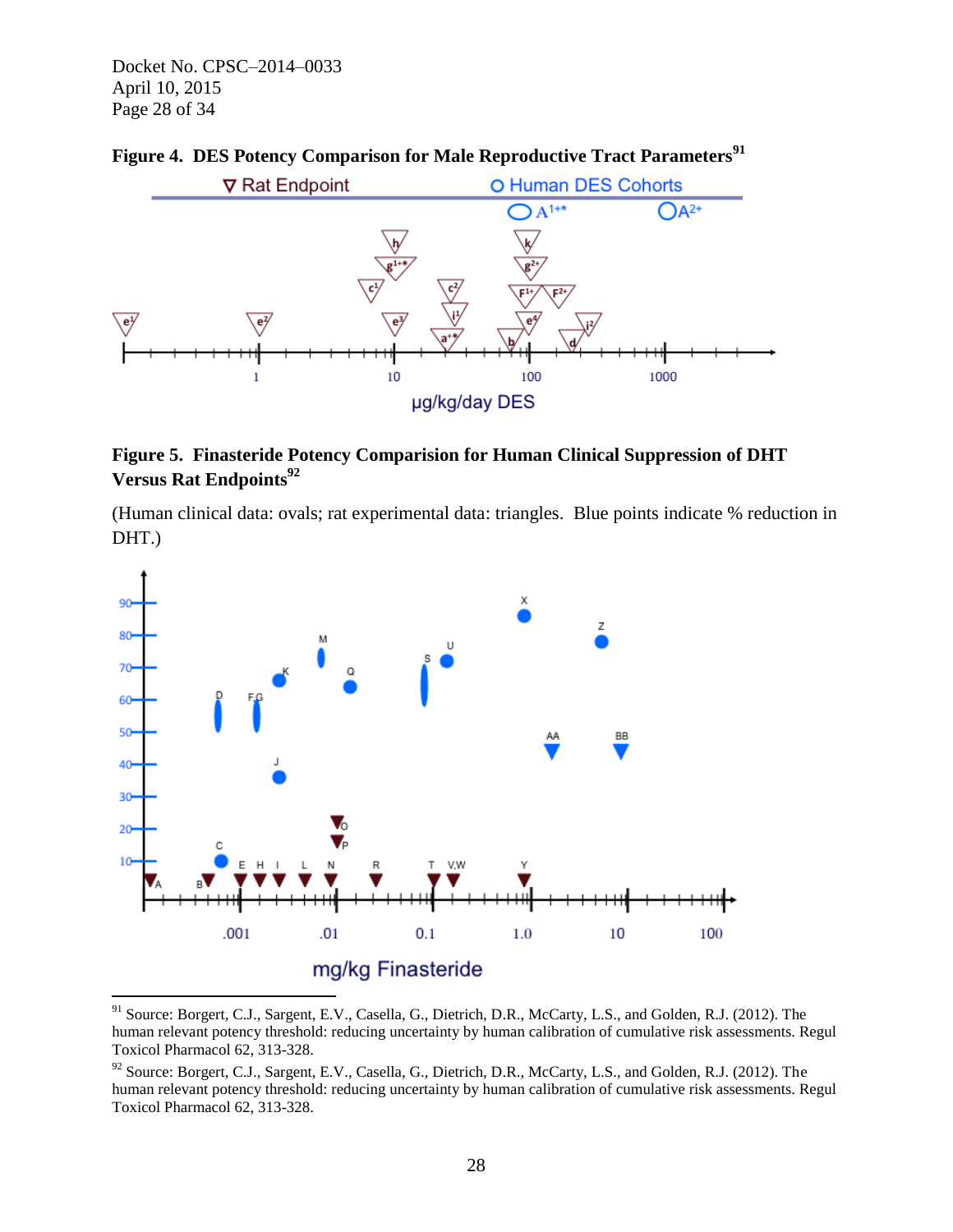Docket No. CPSC–2014–0033 April 10, 2015 Page 28 of 34



## **Figure 4. DES Potency Comparison for Male Reproductive Tract Parameters<sup>91</sup>**

# **Figure 5. Finasteride Potency Comparision for Human Clinical Suppression of DHT Versus Rat Endpoints<sup>92</sup>**

(Human clinical data: ovals; rat experimental data: triangles. Blue points indicate % reduction in DHT.)



<sup>&</sup>lt;sup>91</sup> Source: Borgert, C.J., Sargent, E.V., Casella, G., Dietrich, D.R., McCarty, L.S., and Golden, R.J. (2012). The human relevant potency threshold: reducing uncertainty by human calibration of cumulative risk assessments. Regul Toxicol Pharmacol 62, 313-328.

<sup>&</sup>lt;sup>92</sup> Source: Borgert, C.J., Sargent, E.V., Casella, G., Dietrich, D.R., McCarty, L.S., and Golden, R.J. (2012). The human relevant potency threshold: reducing uncertainty by human calibration of cumulative risk assessments. Regul Toxicol Pharmacol 62, 313-328.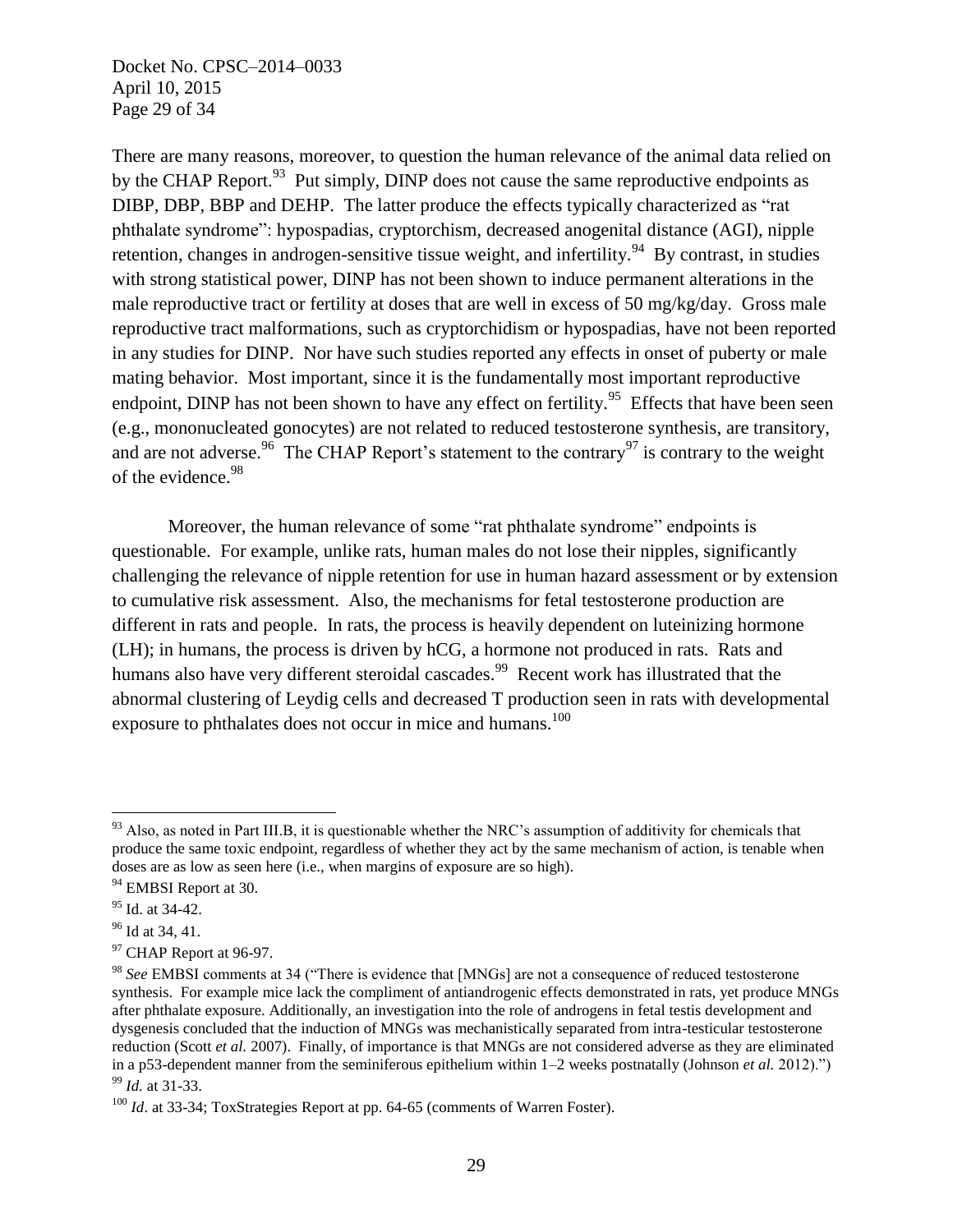Docket No. CPSC–2014–0033 April 10, 2015 Page 29 of 34

There are many reasons, moreover, to question the human relevance of the animal data relied on by the CHAP Report.<sup>93</sup> Put simply, DINP does not cause the same reproductive endpoints as DIBP, DBP, BBP and DEHP. The latter produce the effects typically characterized as "rat phthalate syndrome": hypospadias, cryptorchism, decreased anogenital distance (AGI), nipple retention, changes in androgen-sensitive tissue weight, and infertility.<sup>94</sup> By contrast, in studies with strong statistical power, DINP has not been shown to induce permanent alterations in the male reproductive tract or fertility at doses that are well in excess of 50 mg/kg/day. Gross male reproductive tract malformations, such as cryptorchidism or hypospadias, have not been reported in any studies for DINP. Nor have such studies reported any effects in onset of puberty or male mating behavior. Most important, since it is the fundamentally most important reproductive endpoint, DINP has not been shown to have any effect on fertility.<sup>95</sup> Effects that have been seen (e.g., mononucleated gonocytes) are not related to reduced testosterone synthesis, are transitory, and are not adverse.<sup>96</sup> The CHAP Report's statement to the contrary<sup>97</sup> is contrary to the weight of the evidence.<sup>98</sup>

Moreover, the human relevance of some "rat phthalate syndrome" endpoints is questionable. For example, unlike rats, human males do not lose their nipples, significantly challenging the relevance of nipple retention for use in human hazard assessment or by extension to cumulative risk assessment. Also, the mechanisms for fetal testosterone production are different in rats and people. In rats, the process is heavily dependent on luteinizing hormone (LH); in humans, the process is driven by hCG, a hormone not produced in rats. Rats and humans also have very different steroidal cascades.<sup>99</sup> Recent work has illustrated that the abnormal clustering of Leydig cells and decreased T production seen in rats with developmental exposure to phthalates does not occur in mice and humans.<sup>100</sup>

 $93$  Also, as noted in Part III.B, it is questionable whether the NRC's assumption of additivity for chemicals that produce the same toxic endpoint, regardless of whether they act by the same mechanism of action, is tenable when doses are as low as seen here (i.e., when margins of exposure are so high).

<sup>&</sup>lt;sup>94</sup> EMBSI Report at 30.

 $95$  Id. at 34-42.

<sup>96</sup> Id at 34, 41.

<sup>&</sup>lt;sup>97</sup> CHAP Report at 96-97.

<sup>98</sup> *See* EMBSI comments at 34 ("There is evidence that [MNGs] are not a consequence of reduced testosterone synthesis. For example mice lack the compliment of antiandrogenic effects demonstrated in rats, yet produce MNGs after phthalate exposure. Additionally, an investigation into the role of androgens in fetal testis development and dysgenesis concluded that the induction of MNGs was mechanistically separated from intra-testicular testosterone reduction (Scott *et al.* 2007). Finally, of importance is that MNGs are not considered adverse as they are eliminated in a p53-dependent manner from the seminiferous epithelium within 1–2 weeks postnatally (Johnson *et al.* 2012).") <sup>99</sup> *Id.* at 31-33.

<sup>&</sup>lt;sup>100</sup> *Id.* at 33-34; ToxStrategies Report at pp. 64-65 (comments of Warren Foster).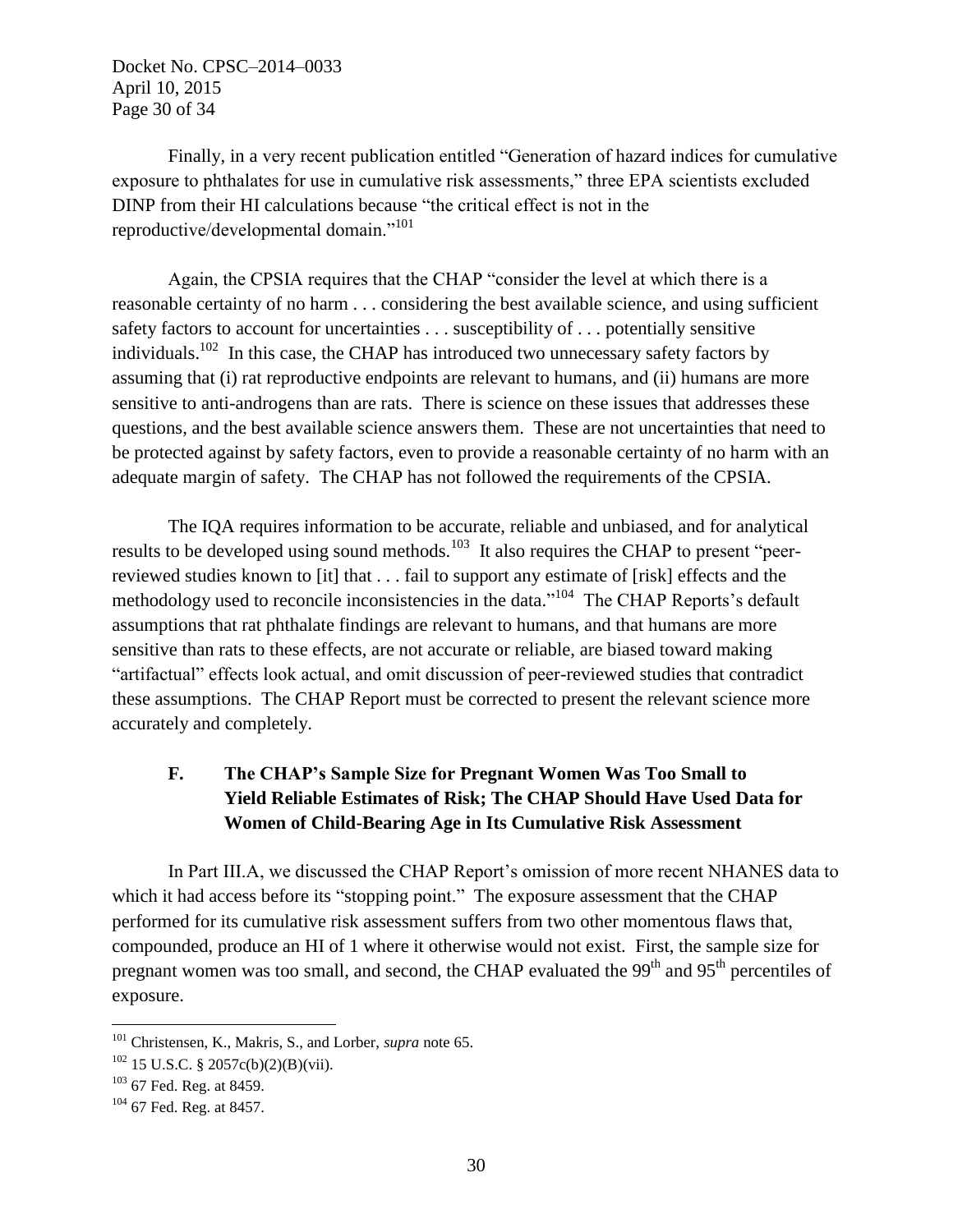Docket No. CPSC–2014–0033 April 10, 2015 Page 30 of 34

Finally, in a very recent publication entitled "Generation of hazard indices for cumulative exposure to phthalates for use in cumulative risk assessments," three EPA scientists excluded DINP from their HI calculations because "the critical effect is not in the reproductive/developmental domain."<sup>101</sup>

Again, the CPSIA requires that the CHAP "consider the level at which there is a reasonable certainty of no harm . . . considering the best available science, and using sufficient safety factors to account for uncertainties . . . susceptibility of . . . potentially sensitive individuals.<sup>102</sup> In this case, the CHAP has introduced two unnecessary safety factors by assuming that (i) rat reproductive endpoints are relevant to humans, and (ii) humans are more sensitive to anti-androgens than are rats. There is science on these issues that addresses these questions, and the best available science answers them. These are not uncertainties that need to be protected against by safety factors, even to provide a reasonable certainty of no harm with an adequate margin of safety. The CHAP has not followed the requirements of the CPSIA.

The IQA requires information to be accurate, reliable and unbiased, and for analytical results to be developed using sound methods.<sup>103</sup> It also requires the CHAP to present "peerreviewed studies known to [it] that . . . fail to support any estimate of [risk] effects and the methodology used to reconcile inconsistencies in the data."<sup>104</sup> The CHAP Reports's default assumptions that rat phthalate findings are relevant to humans, and that humans are more sensitive than rats to these effects, are not accurate or reliable, are biased toward making "artifactual" effects look actual, and omit discussion of peer-reviewed studies that contradict these assumptions. The CHAP Report must be corrected to present the relevant science more accurately and completely.

# **F. The CHAP's Sample Size for Pregnant Women Was Too Small to Yield Reliable Estimates of Risk; The CHAP Should Have Used Data for Women of Child-Bearing Age in Its Cumulative Risk Assessment**

In Part III.A, we discussed the CHAP Report's omission of more recent NHANES data to which it had access before its "stopping point." The exposure assessment that the CHAP performed for its cumulative risk assessment suffers from two other momentous flaws that, compounded, produce an HI of 1 where it otherwise would not exist. First, the sample size for pregnant women was too small, and second, the CHAP evaluated the  $99<sup>th</sup>$  and  $95<sup>th</sup>$  percentiles of exposure.

<sup>101</sup> Christensen, K., Makris, S., and Lorber, *supra* note 65.

 $102$  15 U.S.C. § 2057c(b)(2)(B)(vii).

<sup>&</sup>lt;sup>103</sup> 67 Fed. Reg. at 8459.

<sup>&</sup>lt;sup>104</sup> 67 Fed. Reg. at 8457.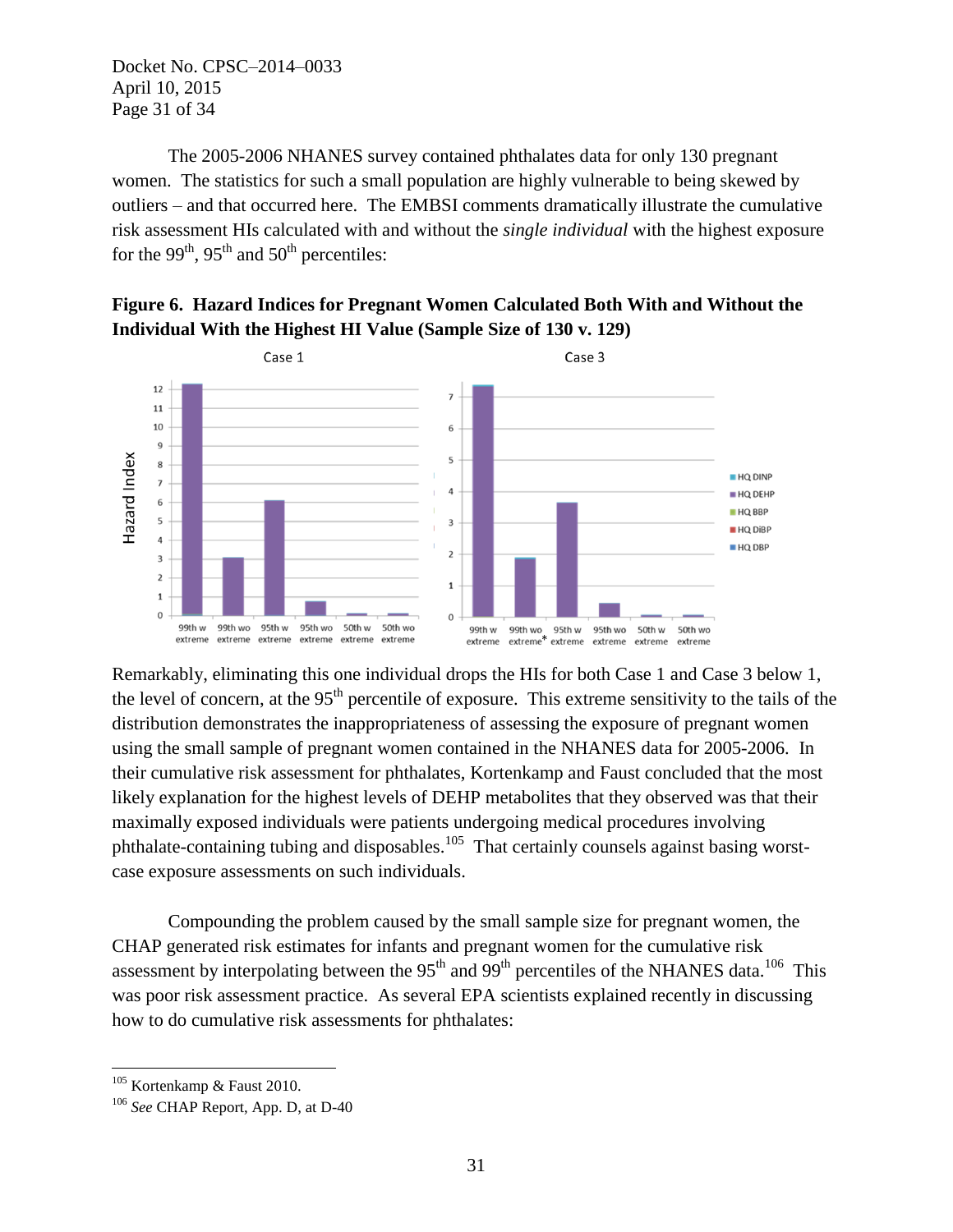Docket No. CPSC–2014–0033 April 10, 2015 Page 31 of 34

The 2005-2006 NHANES survey contained phthalates data for only 130 pregnant women. The statistics for such a small population are highly vulnerable to being skewed by outliers – and that occurred here. The EMBSI comments dramatically illustrate the cumulative risk assessment HIs calculated with and without the *single individual* with the highest exposure for the 99<sup>th</sup>, 95<sup>th</sup> and 50<sup>th</sup> percentiles:





Remarkably, eliminating this one individual drops the HIs for both Case 1 and Case 3 below 1, the level of concern, at the  $95<sup>th</sup>$  percentile of exposure. This extreme sensitivity to the tails of the distribution demonstrates the inappropriateness of assessing the exposure of pregnant women using the small sample of pregnant women contained in the NHANES data for 2005-2006. In their cumulative risk assessment for phthalates, Kortenkamp and Faust concluded that the most likely explanation for the highest levels of DEHP metabolites that they observed was that their maximally exposed individuals were patients undergoing medical procedures involving phthalate-containing tubing and disposables.<sup>105</sup> That certainly counsels against basing worstcase exposure assessments on such individuals.

Compounding the problem caused by the small sample size for pregnant women, the CHAP generated risk estimates for infants and pregnant women for the cumulative risk assessment by interpolating between the  $95<sup>th</sup>$  and  $99<sup>th</sup>$  percentiles of the NHANES data.<sup>106</sup> This was poor risk assessment practice. As several EPA scientists explained recently in discussing how to do cumulative risk assessments for phthalates:

 $\overline{a}$ <sup>105</sup> Kortenkamp & Faust 2010.

<sup>106</sup> *See* CHAP Report, App. D, at D-40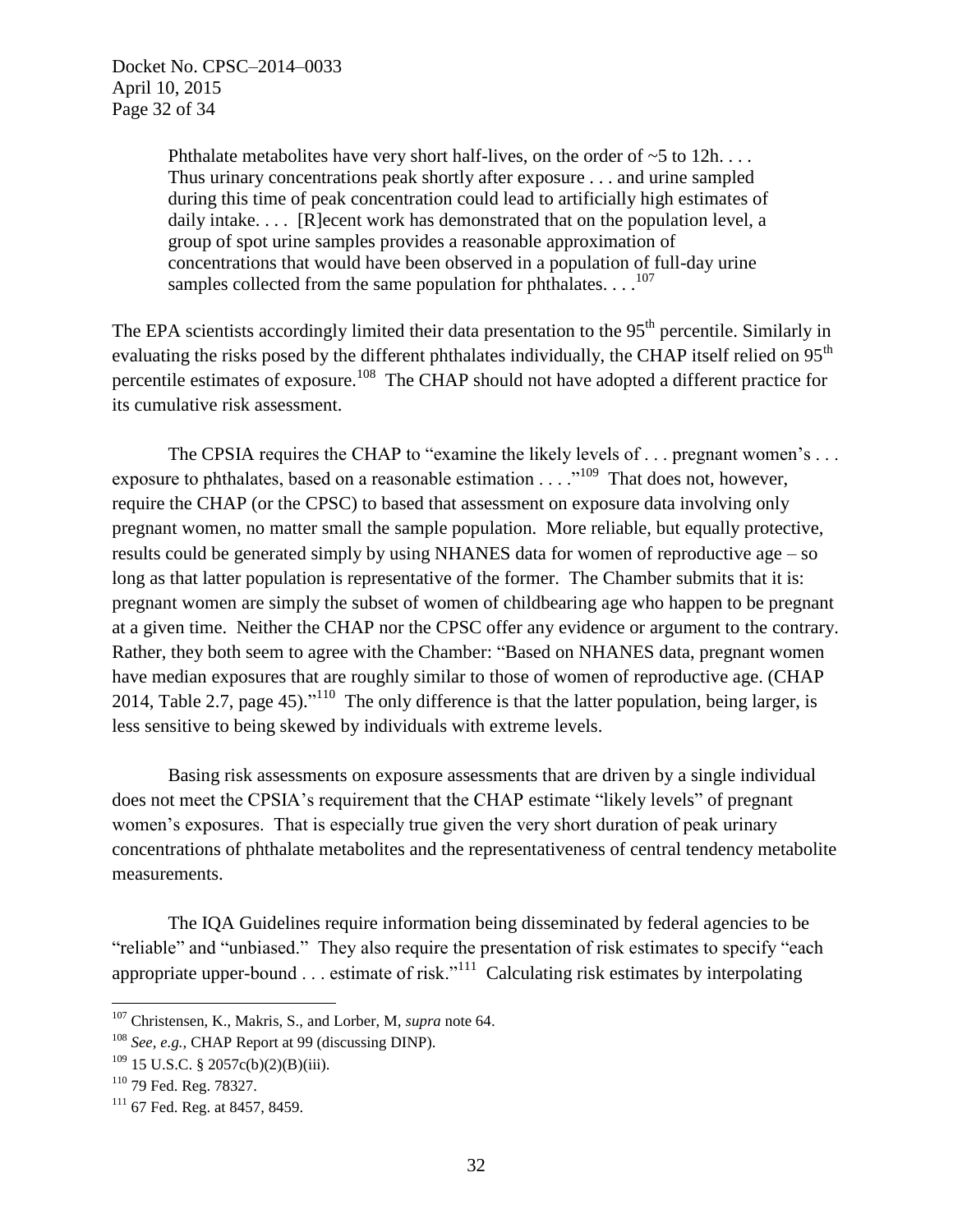Phthalate metabolites have very short half-lives, on the order of  $\sim$  5 to 12h... Thus urinary concentrations peak shortly after exposure . . . and urine sampled during this time of peak concentration could lead to artificially high estimates of daily intake. . . . [R]ecent work has demonstrated that on the population level, a group of spot urine samples provides a reasonable approximation of concentrations that would have been observed in a population of full-day urine samples collected from the same population for phthalates. . . .<sup>107</sup>

The EPA scientists accordingly limited their data presentation to the 95<sup>th</sup> percentile. Similarly in evaluating the risks posed by the different phthalates individually, the CHAP itself relied on 95<sup>th</sup> percentile estimates of exposure.<sup>108</sup> The CHAP should not have adopted a different practice for its cumulative risk assessment.

The CPSIA requires the CHAP to "examine the likely levels of . . . pregnant women's . . . exposure to phthalates, based on a reasonable estimation  $\dots$   $\cdot$ <sup>109</sup> That does not, however, require the CHAP (or the CPSC) to based that assessment on exposure data involving only pregnant women, no matter small the sample population. More reliable, but equally protective, results could be generated simply by using NHANES data for women of reproductive age – so long as that latter population is representative of the former. The Chamber submits that it is: pregnant women are simply the subset of women of childbearing age who happen to be pregnant at a given time. Neither the CHAP nor the CPSC offer any evidence or argument to the contrary. Rather, they both seem to agree with the Chamber: "Based on NHANES data, pregnant women have median exposures that are roughly similar to those of women of reproductive age. (CHAP 2014, Table 2.7, page 45)."<sup>110</sup> The only difference is that the latter population, being larger, is less sensitive to being skewed by individuals with extreme levels.

Basing risk assessments on exposure assessments that are driven by a single individual does not meet the CPSIA's requirement that the CHAP estimate "likely levels" of pregnant women's exposures. That is especially true given the very short duration of peak urinary concentrations of phthalate metabolites and the representativeness of central tendency metabolite measurements.

The IQA Guidelines require information being disseminated by federal agencies to be "reliable" and "unbiased." They also require the presentation of risk estimates to specify "each appropriate upper-bound  $\ldots$  estimate of risk."<sup>111</sup> Calculating risk estimates by interpolating

<sup>107</sup> Christensen, K., Makris, S., and Lorber, M, *supra* note 64.

<sup>108</sup> *See, e.g.,* CHAP Report at 99 (discussing DINP).

 $109$  15 U.S.C. § 2057c(b)(2)(B)(iii).

<sup>110</sup> 79 Fed. Reg. 78327.

 $111$  67 Fed. Reg. at 8457, 8459.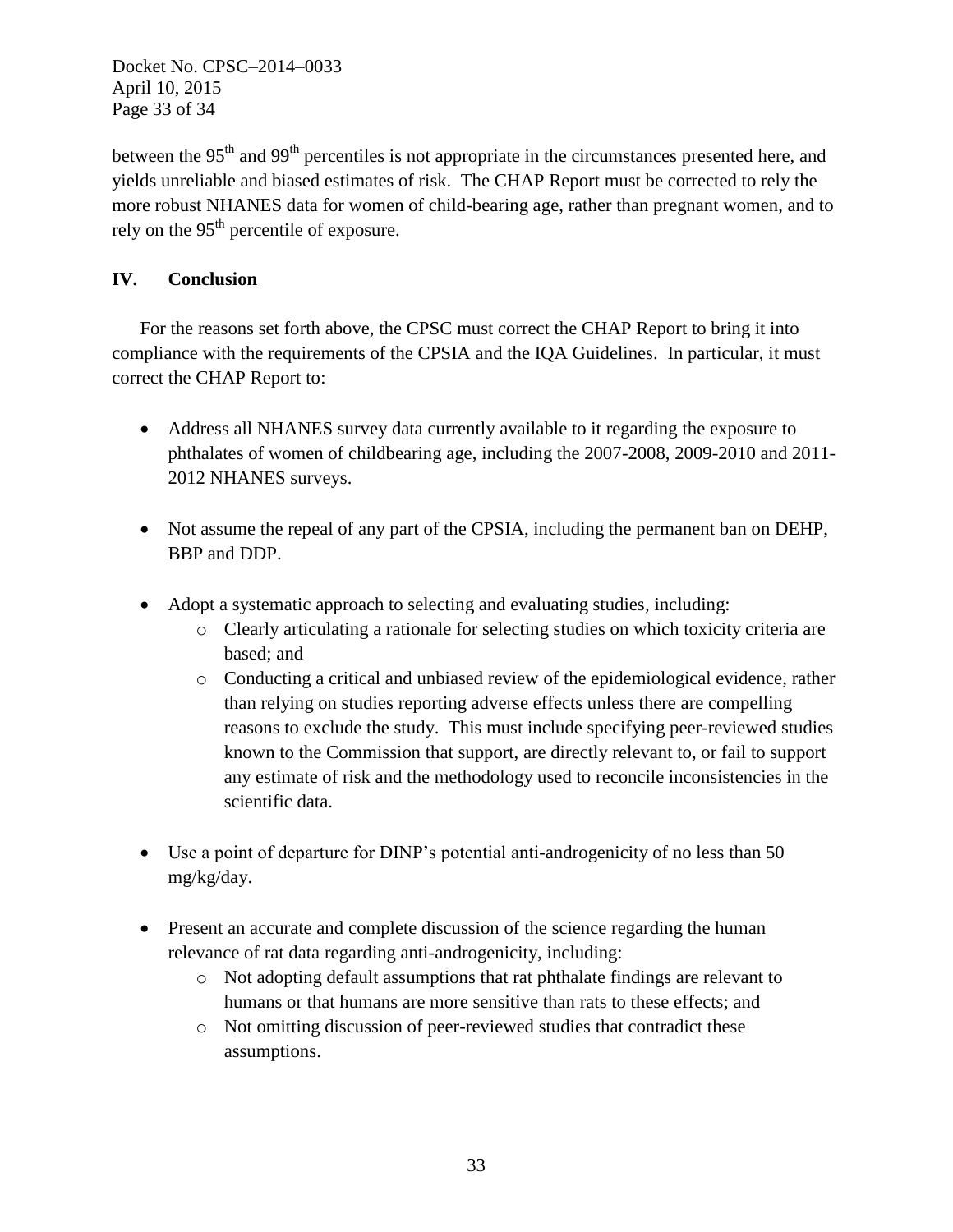Docket No. CPSC–2014–0033 April 10, 2015 Page 33 of 34

between the  $95<sup>th</sup>$  and  $99<sup>th</sup>$  percentiles is not appropriate in the circumstances presented here, and yields unreliable and biased estimates of risk. The CHAP Report must be corrected to rely the more robust NHANES data for women of child-bearing age, rather than pregnant women, and to rely on the 95<sup>th</sup> percentile of exposure.

# **IV. Conclusion**

For the reasons set forth above, the CPSC must correct the CHAP Report to bring it into compliance with the requirements of the CPSIA and the IQA Guidelines. In particular, it must correct the CHAP Report to:

- Address all NHANES survey data currently available to it regarding the exposure to phthalates of women of childbearing age, including the 2007-2008, 2009-2010 and 2011- 2012 NHANES surveys.
- Not assume the repeal of any part of the CPSIA, including the permanent ban on DEHP, BBP and DDP.
- Adopt a systematic approach to selecting and evaluating studies, including:
	- o Clearly articulating a rationale for selecting studies on which toxicity criteria are based; and
	- o Conducting a critical and unbiased review of the epidemiological evidence, rather than relying on studies reporting adverse effects unless there are compelling reasons to exclude the study. This must include specifying peer-reviewed studies known to the Commission that support, are directly relevant to, or fail to support any estimate of risk and the methodology used to reconcile inconsistencies in the scientific data.
- Use a point of departure for DINP's potential anti-androgenicity of no less than 50 mg/kg/day.
- Present an accurate and complete discussion of the science regarding the human relevance of rat data regarding anti-androgenicity, including:
	- o Not adopting default assumptions that rat phthalate findings are relevant to humans or that humans are more sensitive than rats to these effects; and
	- o Not omitting discussion of peer-reviewed studies that contradict these assumptions.